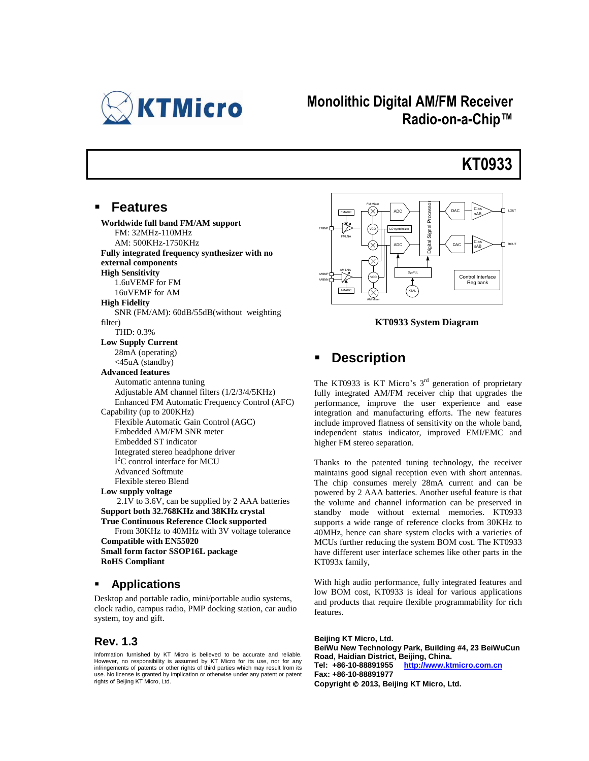

## **Monolithic Digital AM/FM Receiver Radio-on-a-Chip™**

# **KT0933**

#### **Features**

**Worldwide full band FM/AM support** FM: 32MHz-110MHz AM: 500KHz-1750KHz **Fully integrated frequency synthesizer with no external components High Sensitivity** 1.6uVEMF for FM 16uVEMF for AM **High Fidelity** SNR (FM/AM): 60dB/55dB(without weighting filter) THD: 0.3% **Low Supply Current** 28mA (operating) <45uA (standby) **Advanced features** Automatic antenna tuning Adjustable AM channel filters (1/2/3/4/5KHz) Enhanced FM Automatic Frequency Control (AFC) Capability (up to 200KHz) Flexible Automatic Gain Control (AGC) Embedded AM/FM SNR meter Embedded ST indicator Integrated stereo headphone driver I<sup>2</sup>C control interface for MCU Advanced Softmute Flexible stereo Blend **Low supply voltage** 2.1V to 3.6V, can be supplied by 2 AAA batteries **Support both 32.768KHz and 38KHz crystal True Continuous Reference Clock supported** From 30KHz to 40MHz with 3V voltage tolerance **Compatible with EN55020 Small form factor SSOP16L package RoHS Compliant**

#### **Applications**

Desktop and portable radio, mini/portable audio systems, clock radio, campus radio, PMP docking station, car audio system, toy and gift.

#### **Rev. 1.3**

Information furnished by KT Micro is believed to be accurate and reliable. However, no responsibility is assumed by KT Micro for its use, nor for any infringements of patents or other rights of third parties which may result from its use. No license is granted by implication or otherwise under any patent or patent rights of Beijing KT Micro, Ltd.



**KT0933 System Diagram**

#### **Description**

The KT0933 is KT Micro's  $3<sup>rd</sup>$  generation of proprietary fully integrated AM/FM receiver chip that upgrades the performance, improve the user experience and ease integration and manufacturing efforts. The new features include improved flatness of sensitivity on the whole band, independent status indicator, improved EMI/EMC and higher FM stereo separation.

Thanks to the patented tuning technology, the receiver maintains good signal reception even with short antennas. The chip consumes merely 28mA current and can be powered by 2 AAA batteries. Another useful feature is that the volume and channel information can be preserved in standby mode without external memories. KT0933 supports a wide range of reference clocks from 30KHz to 40MHz, hence can share system clocks with a varieties of MCUs further reducing the system BOM cost. The KT0933 have different user interface schemes like other parts in the KT093x family,

With high audio performance, fully integrated features and low BOM cost, KT0933 is ideal for various applications and products that require flexible programmability for rich features.

**Beijing KT Micro, Ltd. BeiWu New Technology Park, Building #4, 23 BeiWuCun Road, Haidian District, Beijing, China. Tel: +86-10-88891955 http:[//www.ktmicro.com.c](http://www.ktmicro.com/)n Fax: +86-10-88891977 Copyright 2013, Beijing KT Micro, Ltd.**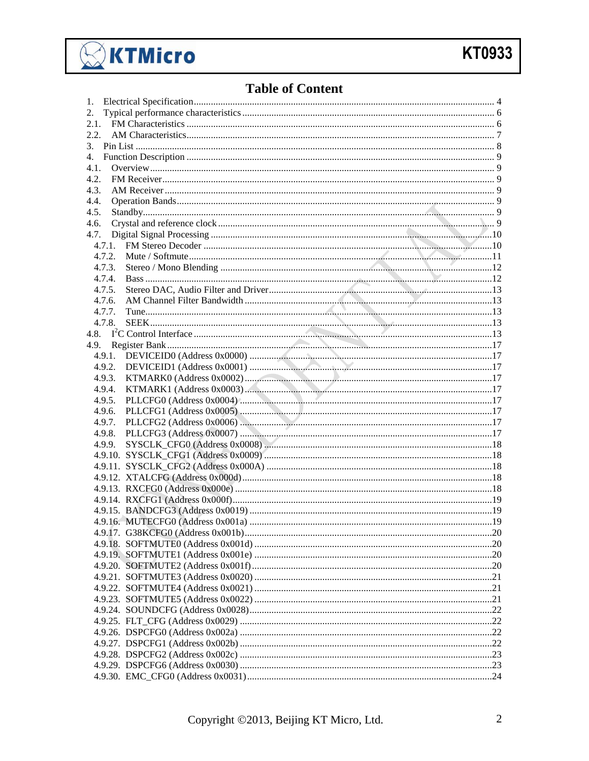

## **Table of Content**

| 1.   |        |  |  |  |  |  |  |  |
|------|--------|--|--|--|--|--|--|--|
| 2.   |        |  |  |  |  |  |  |  |
|      |        |  |  |  |  |  |  |  |
| 2.2. |        |  |  |  |  |  |  |  |
| 3.   |        |  |  |  |  |  |  |  |
| 4.   |        |  |  |  |  |  |  |  |
| 4.1. |        |  |  |  |  |  |  |  |
| 4.2. |        |  |  |  |  |  |  |  |
| 4.3. |        |  |  |  |  |  |  |  |
| 4.4. |        |  |  |  |  |  |  |  |
| 4.5. |        |  |  |  |  |  |  |  |
| 4.6. |        |  |  |  |  |  |  |  |
| 4.7. |        |  |  |  |  |  |  |  |
|      |        |  |  |  |  |  |  |  |
|      | 4.7.2. |  |  |  |  |  |  |  |
|      |        |  |  |  |  |  |  |  |
|      | 4.7.3. |  |  |  |  |  |  |  |
|      | 4.7.4. |  |  |  |  |  |  |  |
|      | 4.7.5. |  |  |  |  |  |  |  |
|      | 4.7.6. |  |  |  |  |  |  |  |
|      | 4.7.7. |  |  |  |  |  |  |  |
|      | 4.7.8. |  |  |  |  |  |  |  |
|      |        |  |  |  |  |  |  |  |
|      |        |  |  |  |  |  |  |  |
|      |        |  |  |  |  |  |  |  |
|      |        |  |  |  |  |  |  |  |
|      |        |  |  |  |  |  |  |  |
|      | 4.9.4. |  |  |  |  |  |  |  |
|      | 4.9.5. |  |  |  |  |  |  |  |
|      | 4.9.6. |  |  |  |  |  |  |  |
|      | 4.9.7. |  |  |  |  |  |  |  |
|      | 4.9.8. |  |  |  |  |  |  |  |
|      | 4.9.9. |  |  |  |  |  |  |  |
|      |        |  |  |  |  |  |  |  |
|      |        |  |  |  |  |  |  |  |
|      |        |  |  |  |  |  |  |  |
|      |        |  |  |  |  |  |  |  |
|      |        |  |  |  |  |  |  |  |
|      |        |  |  |  |  |  |  |  |
|      |        |  |  |  |  |  |  |  |
|      |        |  |  |  |  |  |  |  |
|      |        |  |  |  |  |  |  |  |
|      |        |  |  |  |  |  |  |  |
|      |        |  |  |  |  |  |  |  |
|      |        |  |  |  |  |  |  |  |
|      |        |  |  |  |  |  |  |  |
|      |        |  |  |  |  |  |  |  |
|      |        |  |  |  |  |  |  |  |
|      |        |  |  |  |  |  |  |  |
|      |        |  |  |  |  |  |  |  |
|      |        |  |  |  |  |  |  |  |
|      |        |  |  |  |  |  |  |  |
|      |        |  |  |  |  |  |  |  |
|      |        |  |  |  |  |  |  |  |
|      |        |  |  |  |  |  |  |  |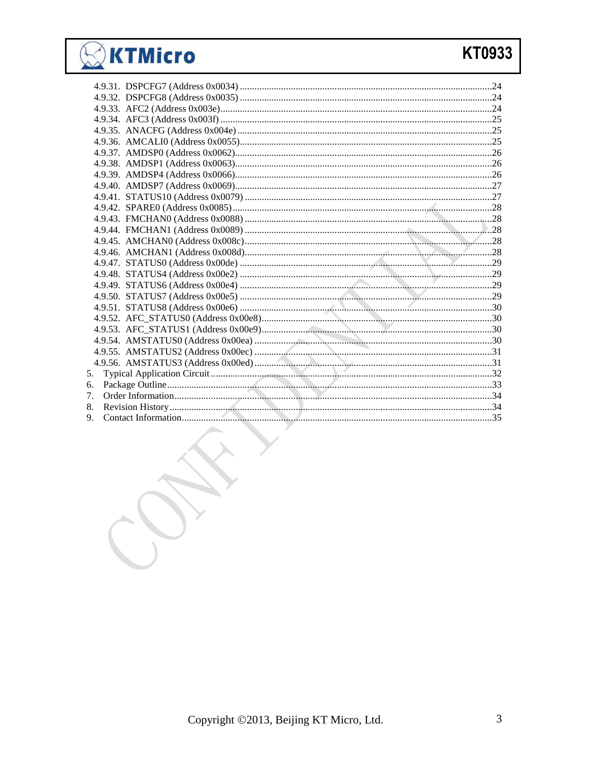# KTMicro

# KT0933

| 5. |  |  |
|----|--|--|
| 6. |  |  |
| 7. |  |  |
| 8. |  |  |
| 9. |  |  |
|    |  |  |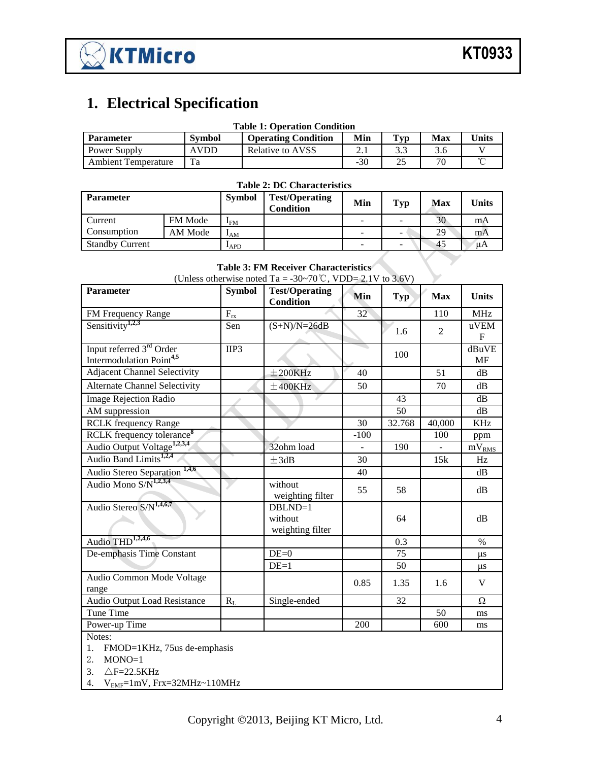

# <span id="page-3-0"></span>**1. Electrical Specification**

| <b>Table 1: Operation Condition</b> |               |                            |       |                |     |              |  |  |
|-------------------------------------|---------------|----------------------------|-------|----------------|-----|--------------|--|--|
| <b>Parameter</b>                    | <b>Symbol</b> | <b>Operating Condition</b> | Min   | $\mathbf{Typ}$ | Max | <b>Units</b> |  |  |
| Power Supply                        | <b>AVDD</b>   | Relative to AVSS           |       |                | 3.6 |              |  |  |
| <b>Ambient Temperature</b>          | Ta            |                            | $-30$ | 25             | 70  |              |  |  |

| <b>Table 2: DC Characteristics</b> |                |                            |                                           |     |            |     |              |  |
|------------------------------------|----------------|----------------------------|-------------------------------------------|-----|------------|-----|--------------|--|
| <b>Parameter</b>                   |                | <b>Symbol</b>              | <b>Test/Operating</b><br><b>Condition</b> | Min | <b>Typ</b> | Max | <b>Units</b> |  |
| Current                            | <b>FM</b> Mode | $\mathbf{I}_{\mathrm{FM}}$ |                                           |     | -          | 30  | mA           |  |
| Consumption                        | AM Mode        | $I_{AM}$                   |                                           |     | -          | 29  | mA           |  |
| <b>Standby Current</b>             |                | $I_{APD}$                  |                                           |     | -          | 45  | иA           |  |

## **Table 3: FM Receiver Characteristics**

| Parameter                                                                    | <b>Symbol</b> | <b>Test/Operating</b><br><b>Condition</b> | Min    | <b>Typ</b> | <b>Max</b>     | <b>Units</b>        |
|------------------------------------------------------------------------------|---------------|-------------------------------------------|--------|------------|----------------|---------------------|
| FM Frequency Range                                                           | $F_{rx}$      |                                           | 32     |            | 110            | <b>MHz</b>          |
| Sensitivity <sup>1,2,3</sup>                                                 | Sen           | $(S+N)/N=26dB$                            |        | 1.6        | $\overline{2}$ | uVEM<br>$\mathbf F$ |
| Input referred 3 <sup>rd</sup> Order<br>Intermodulation Point <sup>4,5</sup> | IIP3          |                                           |        | 100        |                | dBuVE<br><b>MF</b>  |
| Adjacent Channel Selectivity                                                 |               | $±200$ KHz                                | 40     |            | 51             | dB                  |
| <b>Alternate Channel Selectivity</b>                                         |               | $±400$ KHz                                | 50     |            | 70             | dB                  |
| <b>Image Rejection Radio</b>                                                 |               |                                           |        | 43         |                | dB                  |
| AM suppression                                                               |               |                                           |        | 50         |                | dB                  |
| <b>RCLK</b> frequency Range                                                  |               |                                           | 30     | 32.768     | 40,000         | <b>KHz</b>          |
| RCLK frequency tolerance <sup>8</sup>                                        |               |                                           | $-100$ |            | 100            | ppm                 |
| Audio Output Voltage <sup>1,2,3,4</sup>                                      |               | 32ohm load                                |        | 190        |                | $mV_{RMS}$          |
| Audio Band Limits <sup>1,2,4</sup>                                           |               | ±3dB                                      | 30     |            | 15k            | Hz                  |
| 1,4,6<br>Audio Stereo Separation                                             |               |                                           | 40     |            |                | dB                  |
| Audio Mono S/N <sup>1,2,3,4</sup>                                            |               | without<br>weighting filter               | 55     | 58         |                | dB                  |
| Audio Stereo S/N <sup>1,4,6,7</sup>                                          |               | $DBLND=1$<br>without<br>weighting filter  |        | 64         |                | dB                  |
| Audio THD <sup>1,2,4,6</sup>                                                 |               |                                           |        | 0.3        |                | $\%$                |
| De-emphasis Time Constant                                                    |               | $DE=0$                                    |        | 75         |                | μs                  |
|                                                                              |               | $DE=1$                                    |        | 50         |                | μs                  |
| Audio Common Mode Voltage<br>range                                           |               |                                           | 0.85   | 1.35       | 1.6            | V                   |
| <b>Audio Output Load Resistance</b>                                          | $R_L$         | Single-ended                              |        | 32         |                | $\Omega$            |
| Tune Time                                                                    |               |                                           |        |            | 50             | ms                  |
| Power-up Time                                                                |               |                                           | 200    |            | 600            | ms                  |
| Notes:                                                                       |               |                                           |        |            |                |                     |

1. FMOD=1KHz, 75us de-emphasis

2. MONO=1

3. △F=22.5KHz

4. VEMF=1mV, Frx=32MHz~110MHz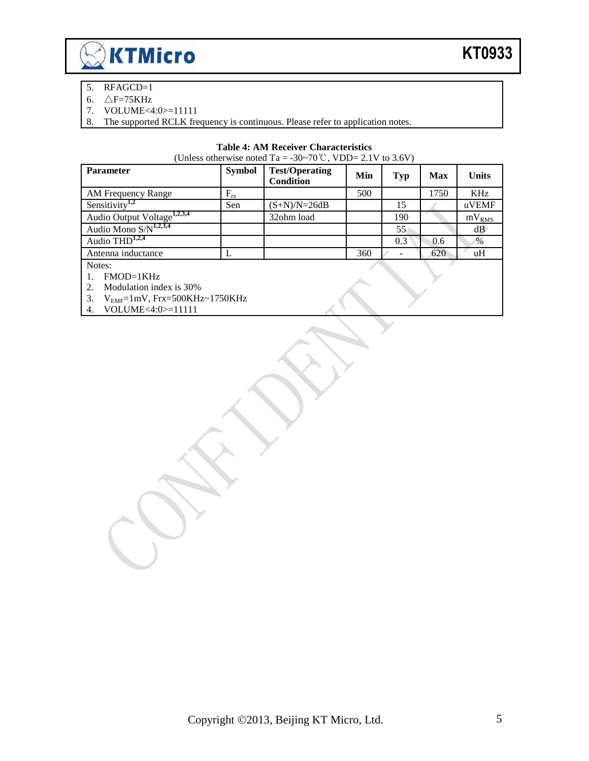

- 5. RFAGCD=1
- 6.  $\triangle F = 75KHz$
- 7. VOLUME<4:0>=11111<br>8. The supported RCLK free
- The supported RCLK frequency is continuous. Please refer to application notes.

#### **Table 4: AM Receiver Characteristics**

(Unless otherwise noted Ta = -30~70°C, VDD= 2.1V to 3.6V)

| <b>Parameter</b>                        | <b>Symbol</b> | <b>Test/Operating</b><br><b>Condition</b> | Min | Typ | <b>Max</b> | <b>Units</b>      |
|-----------------------------------------|---------------|-------------------------------------------|-----|-----|------------|-------------------|
| AM Frequency Range                      | $F_{rx}$      |                                           | 500 |     | 1750       | <b>KHz</b>        |
| Sensitivity <sup>1,2</sup>              | Sen           | $(S+N)/N=26dB$                            |     | 15  |            | uVEMF             |
| Audio Output Voltage <sup>1,2,3,4</sup> |               | 32ohm load                                |     | 190 |            | mV <sub>RMS</sub> |
| Audio Mono $S/N^{1,2,3,4}$              |               |                                           |     | 55  |            | dB                |
| Audio $THD1,2,4$                        |               |                                           |     | 0.3 | 0.6        | $\%$              |
| Antenna inductance                      |               |                                           | 360 |     | 620        | uH                |
| Notes:                                  |               |                                           |     |     |            |                   |

1. FMOD=1KHz

2. Modulation index is 30%

3.  $V_{EMF}=1mV, Frx=500KHz\sim1750KHz$ <br>4. VOLUME<4:0>=11111

VOLUME<4:0>=11111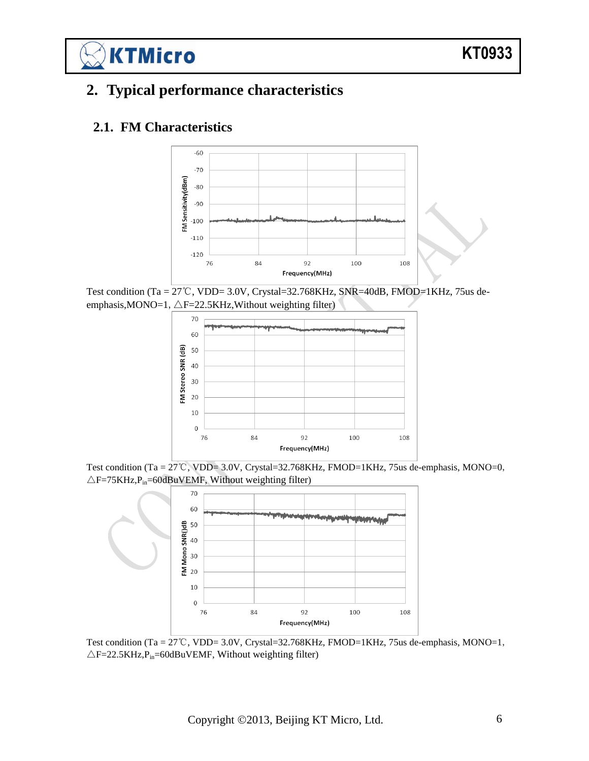# <span id="page-5-0"></span>**2. Typical performance characteristics**

#### <span id="page-5-1"></span>**2.1. FM Characteristics**

**KTMicro** 



Test condition (Ta = 27℃, VDD= 3.0V, Crystal=32.768KHz, SNR=40dB, FMOD=1KHz, 75us deemphasis, MONO=1,  $\triangle F=22.5$ KHz, Without weighting filter)



Test condition (Ta = 27℃, VDD= 3.0V, Crystal=32.768KHz, FMOD=1KHz, 75us de-emphasis, MONO=0,  $\triangle$ F=75KHz,P<sub>in</sub>=60dBuVEMF, Without weighting filter)



Test condition (Ta = 27℃, VDD= 3.0V, Crystal=32.768KHz, FMOD=1KHz, 75us de-emphasis, MONO=1,  $\triangle$ F=22.5KHz,P<sub>in</sub>=60dBuVEMF, Without weighting filter)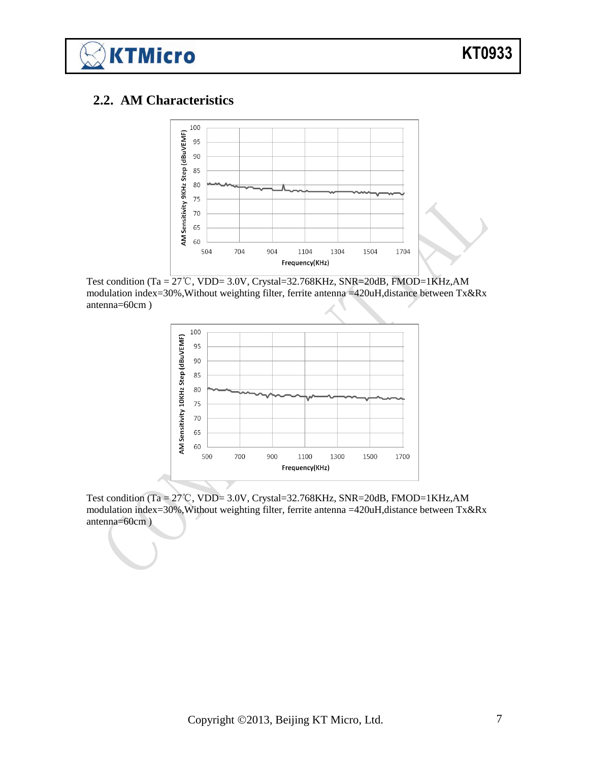

#### <span id="page-6-0"></span>**2.2. AM Characteristics**



Test condition (Ta = 27℃, VDD= 3.0V, Crystal=32.768KHz, SNR=20dB, FMOD=1KHz,AM modulation index=30%,Without weighting filter, ferrite antenna =420uH,distance between Tx&Rx antenna=60cm )



Test condition (Ta = 27℃, VDD= 3.0V, Crystal=32.768KHz, SNR=20dB, FMOD=1KHz,AM modulation index=30%,Without weighting filter, ferrite antenna =420uH,distance between Tx&Rx antenna=60cm )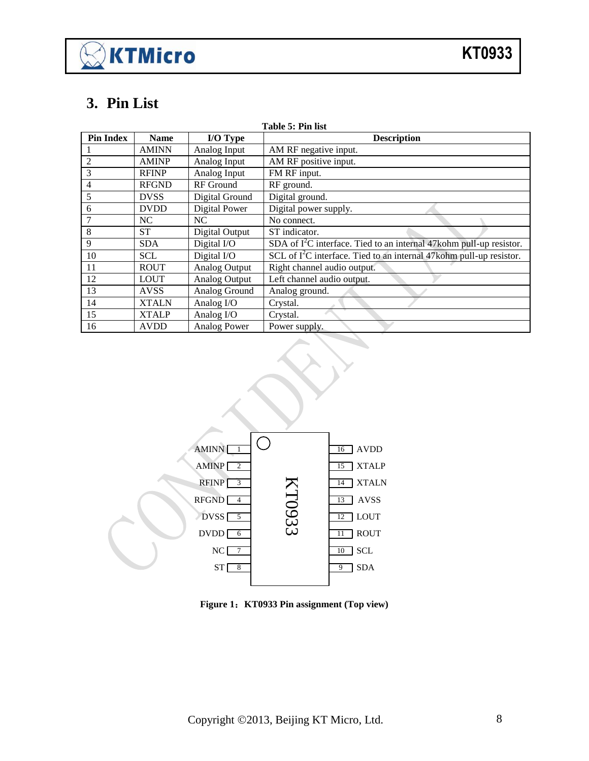# $\gtrapprox$  KTMicro

# <span id="page-7-0"></span>**3. Pin List**

| Table 5: Pin list |              |                     |                                                                        |  |  |  |  |
|-------------------|--------------|---------------------|------------------------------------------------------------------------|--|--|--|--|
| <b>Pin Index</b>  | <b>Name</b>  | I/O Type            | <b>Description</b>                                                     |  |  |  |  |
|                   | <b>AMINN</b> | Analog Input        | AM RF negative input.                                                  |  |  |  |  |
| 2                 | <b>AMINP</b> | Analog Input        | AM RF positive input.                                                  |  |  |  |  |
| 3                 | <b>RFINP</b> | Analog Input        | FM RF input.                                                           |  |  |  |  |
| 4                 | <b>RFGND</b> | <b>RF</b> Ground    | RF ground.                                                             |  |  |  |  |
| 5                 | <b>DVSS</b>  | Digital Ground      | Digital ground.                                                        |  |  |  |  |
| 6                 | <b>DVDD</b>  | Digital Power       | Digital power supply.                                                  |  |  |  |  |
|                   | NC           | NC                  | No connect.                                                            |  |  |  |  |
| 8                 | <b>ST</b>    | Digital Output      | ST indicator.                                                          |  |  |  |  |
| 9                 | <b>SDA</b>   | Digital I/O         | SDA of $I^2C$ interface. Tied to an internal 47 kohm pull-up resistor. |  |  |  |  |
| 10                | <b>SCL</b>   | Digital I/O         | SCL of $I^2C$ interface. Tied to an internal 47 kohm pull-up resistor. |  |  |  |  |
| 11                | <b>ROUT</b>  | Analog Output       | Right channel audio output.                                            |  |  |  |  |
| 12                | <b>LOUT</b>  | Analog Output       | Left channel audio output.                                             |  |  |  |  |
| 13                | <b>AVSS</b>  | Analog Ground       | Analog ground.                                                         |  |  |  |  |
| 14                | <b>XTALN</b> | Analog I/O          | Crystal.                                                               |  |  |  |  |
| 15                | <b>XTALP</b> | Analog I/O          | Crystal.                                                               |  |  |  |  |
| 16                | <b>AVDD</b>  | <b>Analog Power</b> | Power supply.                                                          |  |  |  |  |



**Figure 1**:**KT0933 Pin assignment (Top view)**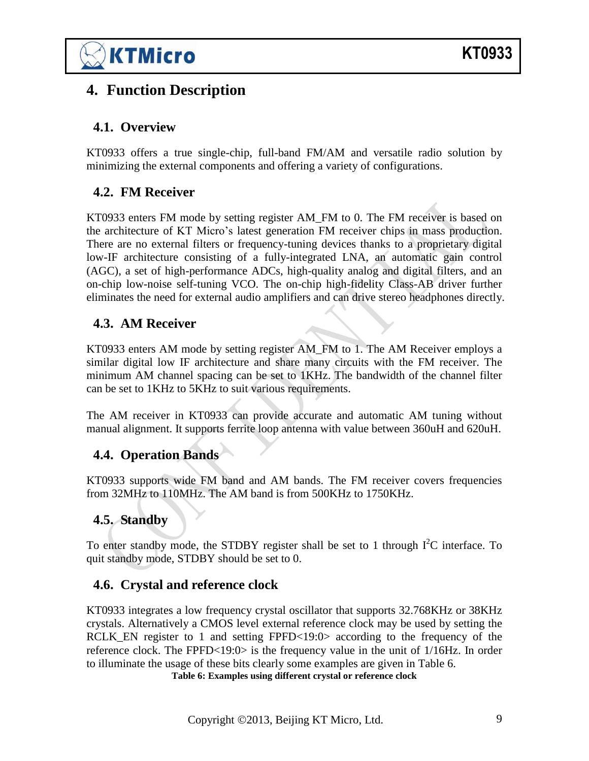

## <span id="page-8-0"></span>**4. Function Description**

#### <span id="page-8-1"></span>**4.1. Overview**

KT0933 offers a true single-chip, full-band FM/AM and versatile radio solution by minimizing the external components and offering a variety of configurations.

#### <span id="page-8-2"></span>**4.2. FM Receiver**

KT0933 enters FM mode by setting register AM FM to 0. The FM receiver is based on the architecture of KT Micro's latest generation FM receiver chips in mass production. There are no external filters or frequency-tuning devices thanks to a proprietary digital low-IF architecture consisting of a fully-integrated LNA, an automatic gain control (AGC), a set of high-performance ADCs, high-quality analog and digital filters, and an on-chip low-noise self-tuning VCO. The on-chip high-fidelity Class-AB driver further eliminates the need for external audio amplifiers and can drive stereo headphones directly.

#### <span id="page-8-3"></span>**4.3. AM Receiver**

KT0933 enters AM mode by setting register AM\_FM to 1. The AM Receiver employs a similar digital low IF architecture and share many circuits with the FM receiver. The minimum AM channel spacing can be set to 1KHz. The bandwidth of the channel filter can be set to 1KHz to 5KHz to suit various requirements.

The AM receiver in KT0933 can provide accurate and automatic AM tuning without manual alignment. It supports ferrite loop antenna with value between 360uH and 620uH.

#### <span id="page-8-4"></span>**4.4. Operation Bands**

KT0933 supports wide FM band and AM bands. The FM receiver covers frequencies from 32MHz to 110MHz. The AM band is from 500KHz to 1750KHz.

#### <span id="page-8-5"></span>**4.5. Standby**

To enter standby mode, the STDBY register shall be set to 1 through  $I^2C$  interface. To quit standby mode, STDBY should be set to 0.

#### <span id="page-8-6"></span>**4.6. Crystal and reference clock**

<span id="page-8-7"></span>KT0933 integrates a low frequency crystal oscillator that supports 32.768KHz or 38KHz crystals. Alternatively a CMOS level external reference clock may be used by setting the RCLK EN register to 1 and setting FPFD $<19:0>$  according to the frequency of the reference clock. The FPFD<19:0> is the frequency value in the unit of 1/16Hz. In order to illuminate the usage of these bits clearly some examples are given in [Table 6.](#page-8-7) **Table 6: Examples using different crystal or reference clock**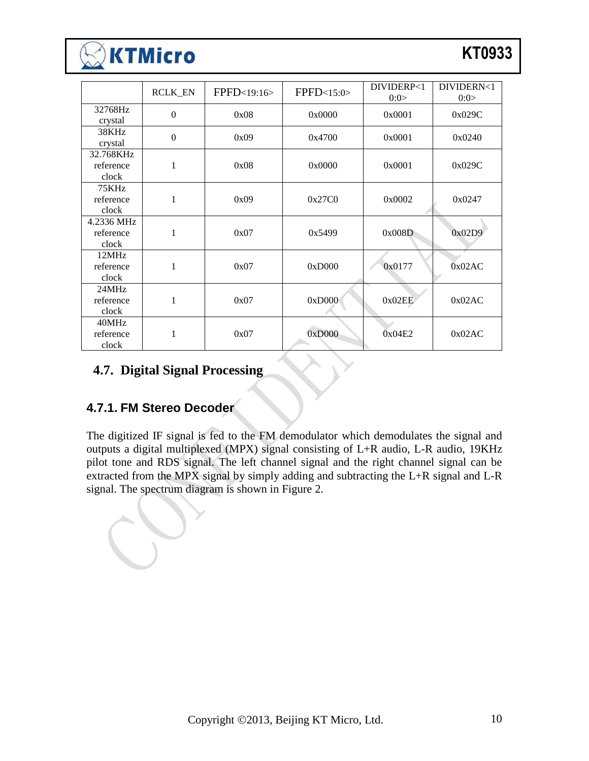# **KTMicro**

|                                  | <b>RCLK_EN</b> | FPFD<19:16> | FPPD<15:0> | DIVIDERP<1<br>0:0> | DIVIDERN<1<br>0:0> |
|----------------------------------|----------------|-------------|------------|--------------------|--------------------|
| 32768Hz<br>crystal               | $\overline{0}$ | 0x08        | 0x0000     | 0x0001             | 0x029C             |
| 38KHz<br>crystal                 | $\theta$       | 0x09        | 0x4700     | 0x0001             | 0x0240             |
| 32.768KHz<br>reference<br>clock  | 1              | 0x08        | 0x0000     | 0x0001             | 0x029C             |
| 75KHz<br>reference<br>clock      | 1              | 0x09        | 0x27C0     | 0x0002             | 0x0247             |
| 4.2336 MHz<br>reference<br>clock | 1              | 0x07        | 0x5499     | 0x008D             | 0x02D9             |
| 12MHz<br>reference<br>clock      | 1              | 0x07        | 0xD000     | 0x0177             | 0x02AC             |
| 24MHz<br>reference<br>clock      | 1              | 0x07        | 0xD000     | 0x02EE             | 0x02AC             |
| 40MHz<br>reference<br>clock      | 1              | 0x07        | 0xD000     | 0x04E2             | 0x02AC             |

#### <span id="page-9-0"></span>**4.7. Digital Signal Processing**

#### <span id="page-9-1"></span>**4.7.1. FM Stereo Decoder**

The digitized IF signal is fed to the FM demodulator which demodulates the signal and outputs a digital multiplexed (MPX) signal consisting of L+R audio, L-R audio, 19KHz pilot tone and RDS signal. The left channel signal and the right channel signal can be extracted from the MPX signal by simply adding and subtracting the L+R signal and L-R signal. The spectrum diagram is shown in [Figure 2.](#page-10-1)

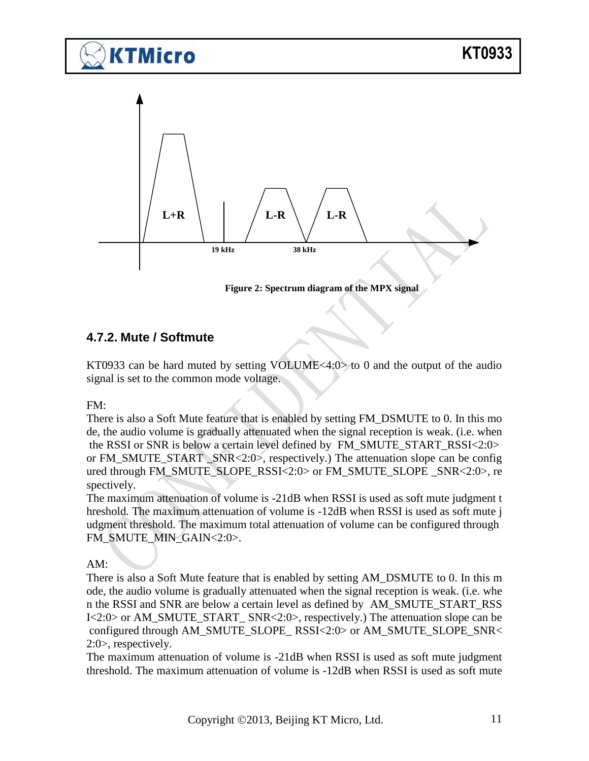

<span id="page-10-1"></span>

#### <span id="page-10-0"></span>**4.7.2. Mute / Softmute**

KT0933 can be hard muted by setting VOLUME<4:0> to 0 and the output of the audio signal is set to the common mode voltage.

FM:

There is also a Soft Mute feature that is enabled by setting FM\_DSMUTE to 0. In this mo de, the audio volume is gradually attenuated when the signal reception is weak. (i.e. when the RSSI or SNR is below a certain level defined by FM\_SMUTE\_START\_RSSI<2:0> or FM\_SMUTE\_START \_SNR<2:0>, respectively.) The attenuation slope can be config ured through FM\_SMUTE\_SLOPE\_RSSI<2:0> or FM\_SMUTE\_SLOPE \_SNR<2:0>, re spectively.

The maximum attenuation of volume is -21dB when RSSI is used as soft mute judgment t hreshold. The maximum attenuation of volume is -12dB when RSSI is used as soft mute j udgment threshold. The maximum total attenuation of volume can be configured through FM\_SMUTE\_MIN\_GAIN<2:0>.

AM:

There is also a Soft Mute feature that is enabled by setting AM\_DSMUTE to 0. In this m ode, the audio volume is gradually attenuated when the signal reception is weak. (i.e. whe n the RSSI and SNR are below a certain level as defined by AM\_SMUTE\_START\_RSS I<2:0> or AM\_SMUTE\_START\_ SNR<2:0>, respectively.) The attenuation slope can be configured through AM\_SMUTE\_SLOPE\_RSSI<2:0> or AM\_SMUTE\_SLOPE\_SNR< 2:0>, respectively.

The maximum attenuation of volume is -21dB when RSSI is used as soft mute judgment threshold. The maximum attenuation of volume is -12dB when RSSI is used as soft mute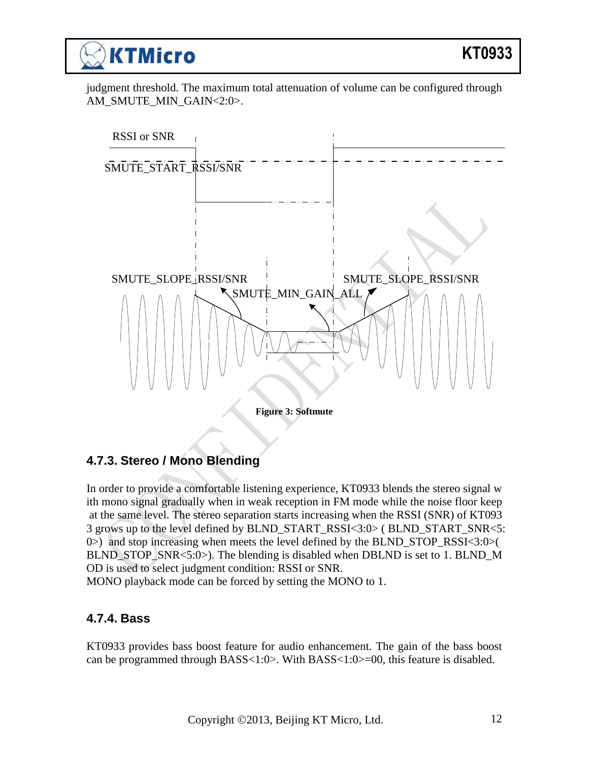judgment threshold. The maximum total attenuation of volume can be configured through AM\_SMUTE\_MIN\_GAIN<2:0>.



#### <span id="page-11-0"></span>**4.7.3. Stereo / Mono Blending**

In order to provide a comfortable listening experience, KT0933 blends the stereo signal w ith mono signal gradually when in weak reception in FM mode while the noise floor keep at the same level. The stereo separation starts increasing when the RSSI (SNR) of KT093 3 grows up to the level defined by BLND\_START\_RSSI<3:0> ( BLND\_START\_SNR<5: 0>) and stop increasing when meets the level defined by the BLND\_STOP\_RSSI<3:0>( BLND\_STOP\_SNR<5:0>). The blending is disabled when DBLND is set to 1. BLND\_M OD is used to select judgment condition: RSSI or SNR.

<span id="page-11-1"></span>MONO playback mode can be forced by setting the MONO to 1.

## **4.7.4. Bass**

KT0933 provides bass boost feature for audio enhancement. The gain of the bass boost can be programmed through BASS<1:0>. With BASS<1:0>=00, this feature is disabled.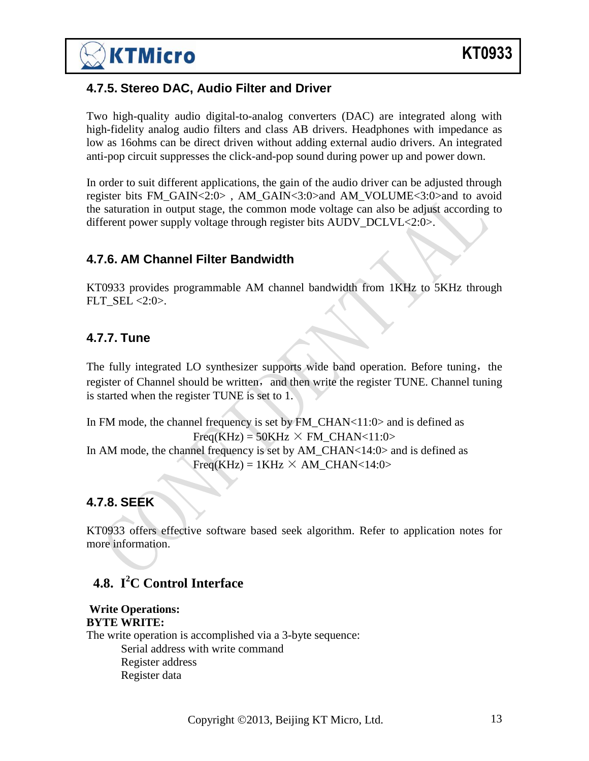#### <span id="page-12-0"></span>**4.7.5. Stereo DAC, Audio Filter and Driver**

Two high-quality audio digital-to-analog converters (DAC) are integrated along with high-fidelity analog audio filters and class AB drivers. Headphones with impedance as low as 16ohms can be direct driven without adding external audio drivers. An integrated anti-pop circuit suppresses the click-and-pop sound during power up and power down.

In order to suit different applications, the gain of the audio driver can be adjusted through register bits FM\_GAIN<2:0> , AM\_GAIN<3:0>and AM\_VOLUME<3:0>and to avoid the saturation in output stage, the common mode voltage can also be adjust according to different power supply voltage through register bits AUDV\_DCLVL<2:0>.

#### <span id="page-12-1"></span>**4.7.6. AM Channel Filter Bandwidth**

KT0933 provides programmable AM channel bandwidth from 1KHz to 5KHz through  $FLT$ <sub>\_</sub>SEL <2:0>.

#### <span id="page-12-2"></span>**4.7.7. Tune**

The fully integrated LO synthesizer supports wide band operation. Before tuning, the register of Channel should be written, and then write the register TUNE. Channel tuning is started when the register TUNE is set to 1.

In FM mode, the channel frequency is set by FM\_CHAN<11:0> and is defined as  $Freq(KHz) = 50KHz \times FM$  CHAN<11:0> In AM mode, the channel frequency is set by AM\_CHAN<14:0> and is defined as  $Freq(KHz) = 1KHz \times AM \text{ CHAN} < 14:0>$ 

#### <span id="page-12-3"></span>**4.7.8. SEEK**

KT0933 offers effective software based seek algorithm. Refer to application notes for more information.

## <span id="page-12-4"></span>**4.8. I <sup>2</sup>C Control Interface**

#### **Write Operations: BYTE WRITE:**  The write operation is accomplished via a 3-byte sequence: Serial address with write command Register address Register data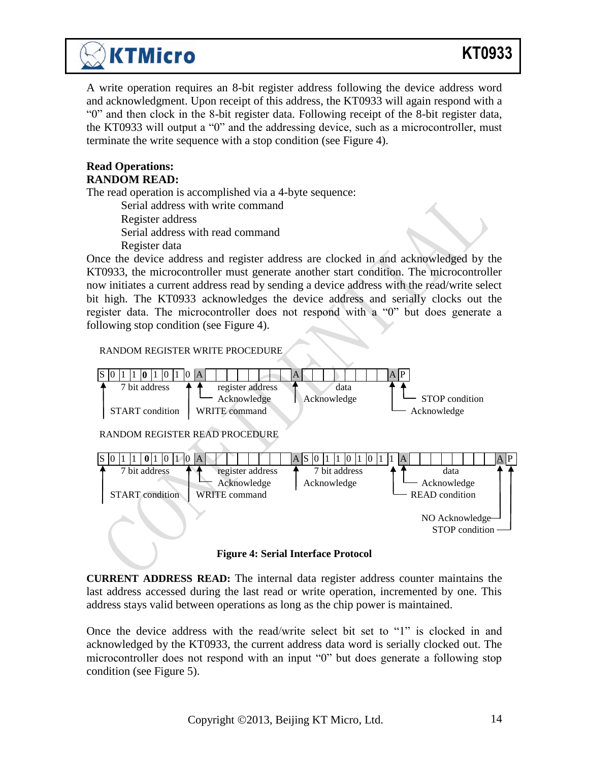# **KT0933**

A write operation requires an 8-bit register address following the device address word and acknowledgment. Upon receipt of this address, the KT0933 will again respond with a "0" and then clock in the 8-bit register data. Following receipt of the 8-bit register data, the KT0933 will output a "0" and the addressing device, such as a microcontroller, must terminate the write sequence with a stop condition (see Figure 4).

#### **Read Operations: RANDOM READ:**

The read operation is accomplished via a 4-byte sequence:

Serial address with write command

Register address

Serial address with read command

Register data

**KTMicro** 

Once the device address and register address are clocked in and acknowledged by the KT0933, the microcontroller must generate another start condition. The microcontroller now initiates a current address read by sending a device address with the read/write select bit high. The KT0933 acknowledges the device address and serially clocks out the register data. The microcontroller does not respond with a "0" but does generate a following stop condition (see Figure 4).

#### RANDOM REGISTER WRITE PROCEDURE



**Figure 4: Serial Interface Protocol**

**CURRENT ADDRESS READ:** The internal data register address counter maintains the last address accessed during the last read or write operation, incremented by one. This address stays valid between operations as long as the chip power is maintained.

Once the device address with the read/write select bit set to "1" is clocked in and acknowledged by the KT0933, the current address data word is serially clocked out. The microcontroller does not respond with an input "0" but does generate a following stop condition (see Figure 5).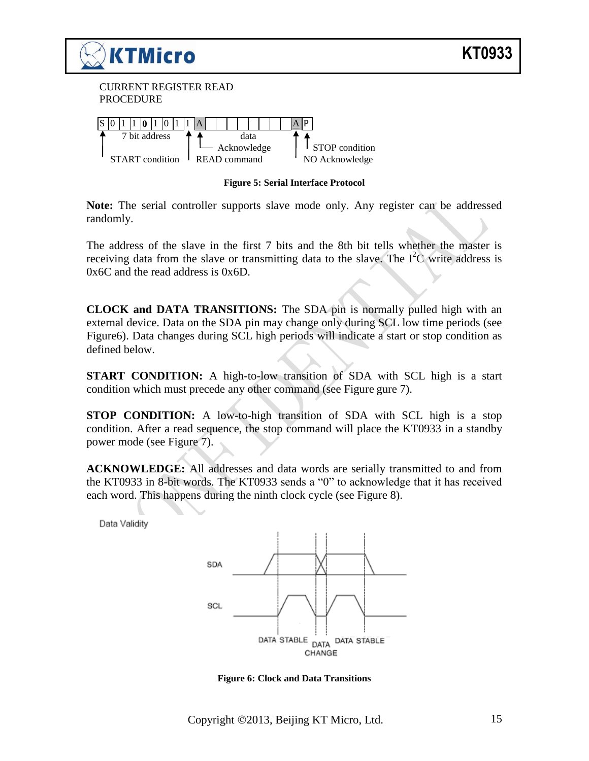

**Figure 5: Serial Interface Protocol**

**Note:** The serial controller supports slave mode only. Any register can be addressed randomly.

The address of the slave in the first 7 bits and the 8th bit tells whether the master is receiving data from the slave or transmitting data to the slave. The  $I^2C$  write address is 0x6C and the read address is 0x6D.

**CLOCK and DATA TRANSITIONS:** The SDA pin is normally pulled high with an external device. Data on the SDA pin may change only during SCL low time periods (see Figure6). Data changes during SCL high periods will indicate a start or stop condition as defined below.

**START CONDITION:** A high-to-low transition of SDA with SCL high is a start condition which must precede any other command (see [Figure](#page-15-0) gure 7).

**STOP CONDITION:** A low-to-high transition of SDA with SCL high is a stop condition. After a read sequence, the stop command will place the KT0933 in a standby power mode (see [Figure 7](#page-15-0)).

**ACKNOWLEDGE:** All addresses and data words are serially transmitted to and from the KT0933 in 8-bit words. The KT0933 sends a "0" to acknowledge that it has received each word. This happens during the ninth clock cycle (see [Figure 8](#page-15-1)).

Data Validity



**Figure 6: Clock and Data Transitions**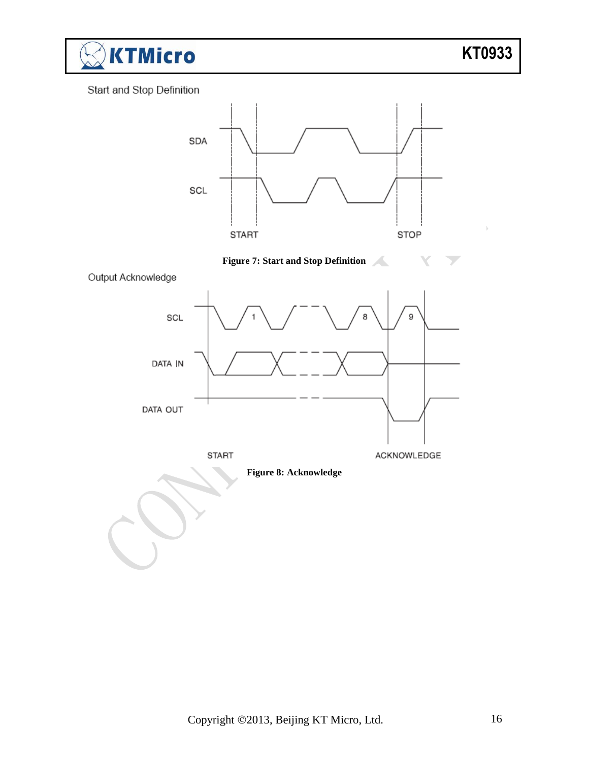

#### Start and Stop Definition

<span id="page-15-1"></span><span id="page-15-0"></span>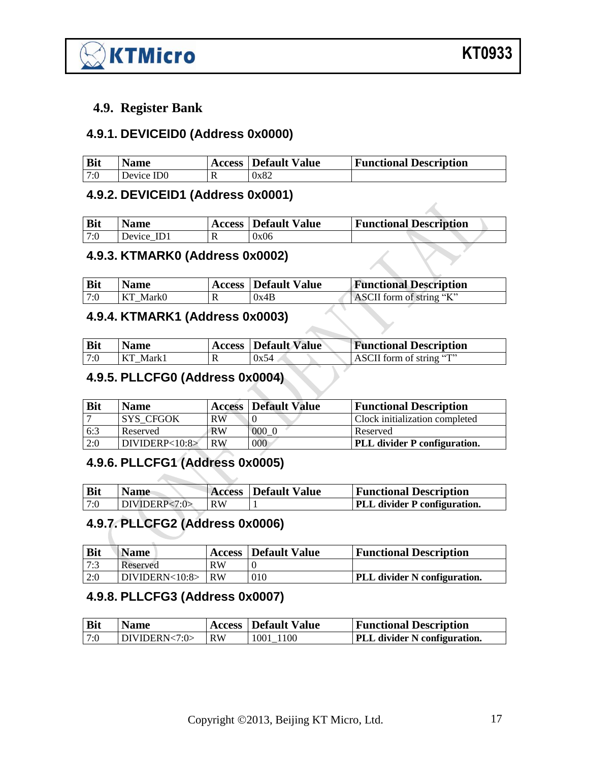

#### <span id="page-16-0"></span>**4.9. Register Bank**

#### <span id="page-16-1"></span>**4.9.1. DEVICEID0 (Address 0x0000)**

| <b>Bit</b> | <b>Name</b>            | <b>Access   Default Value</b> | <b>Functional Description</b> |
|------------|------------------------|-------------------------------|-------------------------------|
| 17:0       | Device ID <sub>0</sub> | 0x82                          |                               |

#### <span id="page-16-2"></span>**4.9.2. DEVICEID1 (Address 0x0001)**

| <b>Bit</b> | Name       | <b>Access   Default Value</b> | <b>Functional Description</b> |
|------------|------------|-------------------------------|-------------------------------|
| 7:0        | Device ID1 | 0x06                          |                               |

## <span id="page-16-3"></span>**4.9.3. KTMARK0 (Address 0x0002)**

| <b>Bit</b> | <b>Name</b> | <b>Access</b> Default Value | <b>Functional Description</b> |
|------------|-------------|-----------------------------|-------------------------------|
| 7:0        | KT Mark0    | 0x4B                        | ASCII form of string "K"      |

#### <span id="page-16-4"></span>**4.9.4. KTMARK1 (Address 0x0003)**

| <b>Bit</b> | Name     | <b>Access</b> Default Value | <b>Functional Description</b> |
|------------|----------|-----------------------------|-------------------------------|
| 7:0        | KT Mark1 | 0x54                        | ASCII form of string "T"      |

## <span id="page-16-5"></span>**4.9.5. PLLCFG0 (Address 0x0004)**

| <b>Bit</b> | <b>Name</b>      |           | <b>Access   Default Value</b> | <b>Functional Description</b>       |
|------------|------------------|-----------|-------------------------------|-------------------------------------|
|            | SYS CFGOK        | RW        |                               | Clock initialization completed      |
| 6:3        | Reserved         | <b>RW</b> | 0000                          | Reserved                            |
| 2:0        | DIVIDERP < 10:8> | <b>RW</b> | 000                           | <b>PLL</b> divider P configuration. |

## <span id="page-16-6"></span>**4.9.6. PLLCFG1 (Address 0x0005)**

| <b>Bit</b> | <b>Name</b>     |      | <b>Access Default Value</b> | <b>Functional Description</b>       |
|------------|-----------------|------|-----------------------------|-------------------------------------|
| 7:0        | DIVIDERP < 7:0> | l RW |                             | <b>PLL</b> divider P configuration. |

## <span id="page-16-7"></span>**4.9.7. PLLCFG2 (Address 0x0006)**

| <b>Bit</b> | <i>Name</i>        |    | <b>Access Default Value</b> | <b>Functional Description</b>       |
|------------|--------------------|----|-----------------------------|-------------------------------------|
| 7:3        | Reserved           | RW |                             |                                     |
| 2:0        | $DIVIDERN<10:8$ RW |    | 010                         | <b>PLL</b> divider N configuration. |

#### <span id="page-16-8"></span>**4.9.8. PLLCFG3 (Address 0x0007)**

| <b>Bit</b> | <b>Name</b>     |    | <b>Access Default Value</b> | <b>Functional Description</b>       |
|------------|-----------------|----|-----------------------------|-------------------------------------|
| 7:0        | IDIVIDERN < 7:0 | RW | 1001 1100                   | <b>PLL</b> divider N configuration. |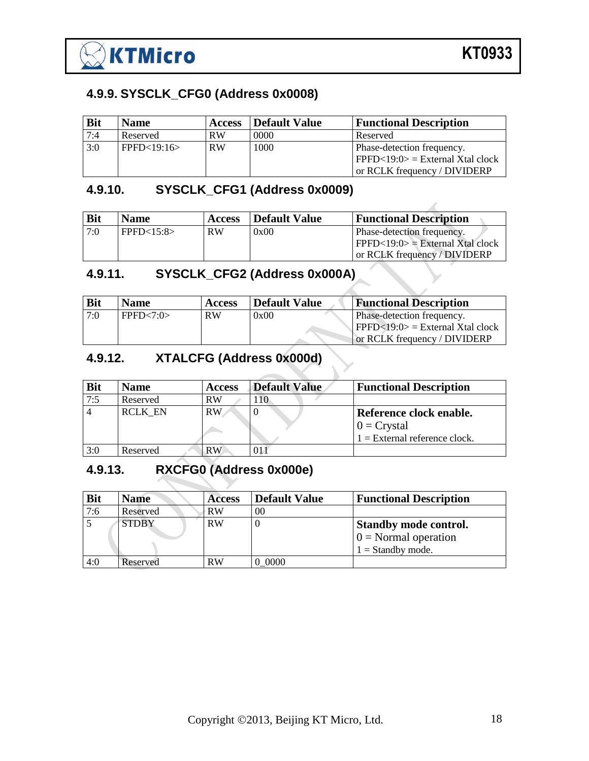

#### <span id="page-17-0"></span>**4.9.9. SYSCLK\_CFG0 (Address 0x0008)**

| <b>Bit</b> | <b>Name</b>   | <b>Access</b> | <b>Default Value</b> | <b>Functional Description</b>                                                                    |
|------------|---------------|---------------|----------------------|--------------------------------------------------------------------------------------------------|
| 7:4        | Reserved      | <b>RW</b>     | 0000                 | Reserved                                                                                         |
| 3:0        | $FPPK-19:16>$ | <b>RW</b>     | 1000                 | Phase-detection frequency.<br>$PFPD<19:0>$ = External Xtal clock<br>or RCLK frequency / DIVIDERP |

## <span id="page-17-1"></span>**4.9.10. SYSCLK\_CFG1 (Address 0x0009)**

| <b>Bit</b> | <b>Name</b> | <b>Access</b> | Default Value | <b>Functional Description</b>                                                                    |
|------------|-------------|---------------|---------------|--------------------------------------------------------------------------------------------------|
| 7:0        | FPFD<15:8>  | <b>RW</b>     | 0x00          | Phase-detection frequency.<br>$PFPD<19:0>$ = External Xtal clock<br>or RCLK frequency / DIVIDERP |

#### <span id="page-17-2"></span>**4.9.11. SYSCLK\_CFG2 (Address 0x000A)**

| <b>Bit</b> | <b>Name</b> | <b>Access</b> | <b>Default Value</b> | <b>Functional Description</b>                                                             |
|------------|-------------|---------------|----------------------|-------------------------------------------------------------------------------------------|
| 7:0        | FPPFD<7:0>  | <b>RW</b>     | 0x00                 | Phase-detection frequency.<br>$\text{FPFD} < 19.0 \text{ } = \text{External X}$ tal clock |
|            |             |               |                      | or RCLK frequency / DIVIDERP                                                              |

## <span id="page-17-3"></span>**4.9.12. XTALCFG (Address 0x000d)**

| <b>Bit</b> | <b>Name</b>    | <b>Access</b> | <b>Default Value</b> | <b>Functional Description</b>   |
|------------|----------------|---------------|----------------------|---------------------------------|
| 7:5        | Reserved       | RW            |                      |                                 |
|            | <b>RCLK EN</b> | <b>RW</b>     |                      | Reference clock enable.         |
|            |                |               |                      | $0 = Crystal$                   |
|            |                |               |                      | $1 =$ External reference clock. |
| 3:0        | Reserved       | RW            |                      |                                 |

## <span id="page-17-4"></span>**4.9.13. RXCFG0 (Address 0x000e)**

| <b>Bit</b> | <b>Name</b>  | <b>Access</b> | <b>Default Value</b> | <b>Functional Description</b>                                                 |
|------------|--------------|---------------|----------------------|-------------------------------------------------------------------------------|
| 7:6        | Reserved     | RW            | 00                   |                                                                               |
|            | <b>STDBY</b> | RW            |                      | <b>Standby mode control.</b><br>$0 = Normal operation$<br>$1 =$ Standby mode. |
| 4:0        | Reserved     | RW            | 0000 (               |                                                                               |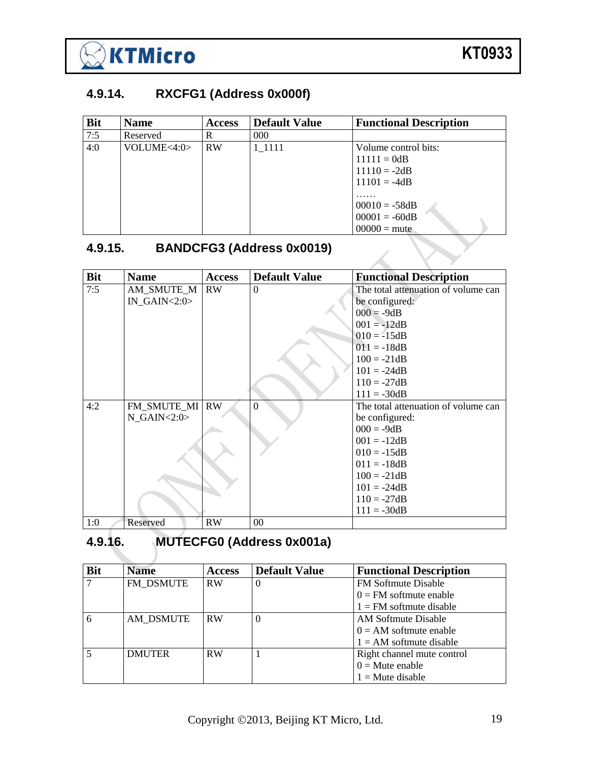

#### <span id="page-18-0"></span>**4.9.14. RXCFG1 (Address 0x000f)**

| 7:5                                         |             |           | <b>Default Value</b> | <b>Functional Description</b> |
|---------------------------------------------|-------------|-----------|----------------------|-------------------------------|
|                                             | Reserved    | R         | 000                  |                               |
| 4:0                                         | VOLUME<4:0> | <b>RW</b> | 1 1111               | Volume control bits:          |
|                                             |             |           |                      | $11111 = 0dB$                 |
|                                             |             |           |                      | $11110 = -2dB$                |
|                                             |             |           |                      | $11101 = -4dB$                |
|                                             |             |           |                      | .                             |
|                                             |             |           |                      | $00010 = -58dB$               |
|                                             |             |           |                      | $00001 = -60dB$               |
|                                             |             |           |                      | $00000 = \text{mute}$         |
| <b>BANDCFG3 (Address 0x0019)</b><br>4.9.15. |             |           |                      |                               |

#### <span id="page-18-1"></span>**4.9.15. BANDCFG3 (Address 0x0019)**

| <b>Bit</b> | <b>Name</b>        | <b>Access</b> | <b>Default Value</b> | <b>Functional Description</b>       |
|------------|--------------------|---------------|----------------------|-------------------------------------|
| 7:5        | AM SMUTE M         | <b>RW</b>     | $\theta$             | The total attenuation of volume can |
|            | $IN_GAIN < 2:0>$   |               |                      | be configured:                      |
|            |                    |               |                      | $000 = -9dB$                        |
|            |                    |               |                      | $001 = -12dB$                       |
|            |                    |               |                      | $010 = -15dB$                       |
|            |                    |               |                      | $011 = -18dB$                       |
|            |                    |               |                      | $100 = -21dB$                       |
|            |                    |               |                      | $101 = -24dB$                       |
|            |                    |               |                      | $110 = -27dB$                       |
|            |                    |               |                      | $111 = -30dB$                       |
| 4:2        | FM SMUTE MI        | <b>RW</b>     | $\Omega$             | The total attenuation of volume can |
|            | $N$ GAIN < $2:0$ > |               |                      | be configured:                      |
|            |                    |               |                      | $000 = -9dB$                        |
|            |                    |               |                      | $001 = -12dB$                       |
|            |                    |               |                      | $010 = -15dB$                       |
|            |                    |               |                      | $011 = -18dB$                       |
|            |                    |               |                      | $100 = -21dB$                       |
|            |                    |               |                      | $101 = -24dB$                       |
|            |                    |               |                      | $110 = -27dB$                       |
|            |                    |               |                      | $111 = -30dB$                       |
| 1:0        | Reserved           | RW            | 00                   |                                     |

# <span id="page-18-2"></span>**4.9.16. MUTECFG0 (Address 0x001a)**

| <b>Bit</b> | <b>Name</b>   | <b>Access</b> | <b>Default Value</b> | <b>Functional Description</b> |
|------------|---------------|---------------|----------------------|-------------------------------|
|            | FM DSMUTE     | <b>RW</b>     | O                    | <b>FM Softmute Disable</b>    |
|            |               |               |                      | $0 = FM$ softmute enable      |
|            |               |               |                      | $1 = FM$ softmute disable     |
|            | AM DSMUTE     | <b>RW</b>     | $\theta$             | AM Softmute Disable           |
|            |               |               |                      | $0 = AM$ softmute enable      |
|            |               |               |                      | $1 = AM$ softmute disable     |
|            | <b>DMUTER</b> | <b>RW</b>     |                      | Right channel mute control    |
|            |               |               |                      | $0 =$ Mute enable             |
|            |               |               |                      | $1 =$ Mute disable            |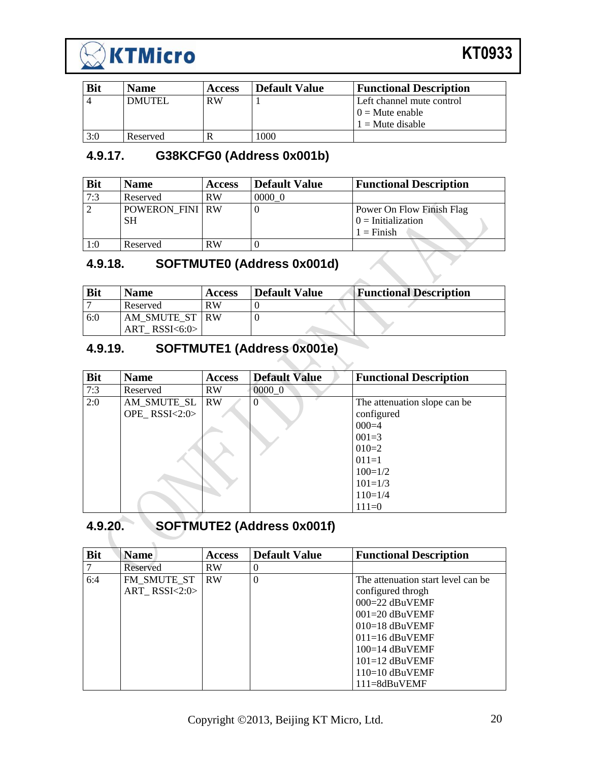

| <b>Bit</b> | <b>Name</b>   | <b>Access</b> | <b>Default Value</b> | <b>Functional Description</b> |
|------------|---------------|---------------|----------------------|-------------------------------|
|            | <b>DMUTEL</b> | <b>RW</b>     |                      | Left channel mute control     |
|            |               |               |                      | $10 =$ Mute enable            |
|            |               |               |                      | $1 =$ Mute disable            |
| 3:0        | Reserved      |               | 1000                 |                               |

#### <span id="page-19-0"></span>**4.9.17. G38KCFG0 (Address 0x001b)**

| <b>Bit</b>     | <b>Name</b>            | <b>Access</b> | <b>Default Value</b> | <b>Functional Description</b> |
|----------------|------------------------|---------------|----------------------|-------------------------------|
| 7:3            | Reserved               | <b>RW</b>     | 0000 0               |                               |
| $\overline{2}$ | <b>POWERON FINI RW</b> |               |                      | Power On Flow Finish Flag     |
|                | <b>SH</b>              |               |                      | $0 =$ Initialization          |
|                |                        |               |                      | $1 =$ Finish                  |
| 1:0            | Reserved               | <b>RW</b>     |                      |                               |

## <span id="page-19-1"></span>**4.9.18. SOFTMUTE0 (Address 0x001d)**

| <b>Bit</b> | <b>Name</b>     | <b>Access</b> | <b>Default Value</b> | <b>Functional Description</b> |
|------------|-----------------|---------------|----------------------|-------------------------------|
|            | Reserved        | <b>RW</b>     |                      |                               |
| 6:0        | AM SMUTE ST IRW |               |                      |                               |
|            | $ART$ RSSI<6:0> |               |                      |                               |

## <span id="page-19-2"></span>**4.9.19. SOFTMUTE1 (Address 0x001e)**

| <b>Bit</b> | <b>Name</b>     | <b>Access</b> | <b>Default Value</b> | <b>Functional Description</b> |
|------------|-----------------|---------------|----------------------|-------------------------------|
| 7:3        | Reserved        | <b>RW</b>     | 0000 0               |                               |
| 2:0        | AM_SMUTE_SL     | <b>RW</b>     | $\Omega$             | The attenuation slope can be. |
|            | OPE_RSSI< $2:0$ |               |                      | configured                    |
|            |                 |               |                      | $000=4$                       |
|            |                 |               |                      | $001 = 3$                     |
|            |                 |               |                      | $010=2$                       |
|            |                 |               |                      | $011=1$                       |
|            |                 |               |                      | $100=1/2$                     |
|            |                 |               |                      | $101 = 1/3$                   |
|            |                 |               |                      | $110=1/4$                     |
|            |                 |               |                      | $111=0$                       |

## <span id="page-19-3"></span>**4.9.20. SOFTMUTE2 (Address 0x001f)**

| <b>Bit</b> | <b>Name</b>       | <b>Access</b> | <b>Default Value</b> | <b>Functional Description</b>      |
|------------|-------------------|---------------|----------------------|------------------------------------|
|            | Reserved          | <b>RW</b>     | $\theta$             |                                    |
| 6:4        | FM SMUTE ST       | <b>RW</b>     | $\theta$             | The attenuation start level can be |
|            | ART RSSI< $2:0$ > |               |                      | configured throgh                  |
|            |                   |               |                      | $000 = 22$ dBuVEMF                 |
|            |                   |               |                      | $001 = 20$ dBuVEMF                 |
|            |                   |               |                      | $010=18$ dBuVEMF                   |
|            |                   |               |                      | $011=16$ dBuVEMF                   |
|            |                   |               |                      | $100=14$ dBuVEMF                   |
|            |                   |               |                      | $101 = 12$ dBuVEMF                 |
|            |                   |               |                      | $110=10$ dBuVEMF                   |
|            |                   |               |                      | $111 = 8$ dBuVEMF                  |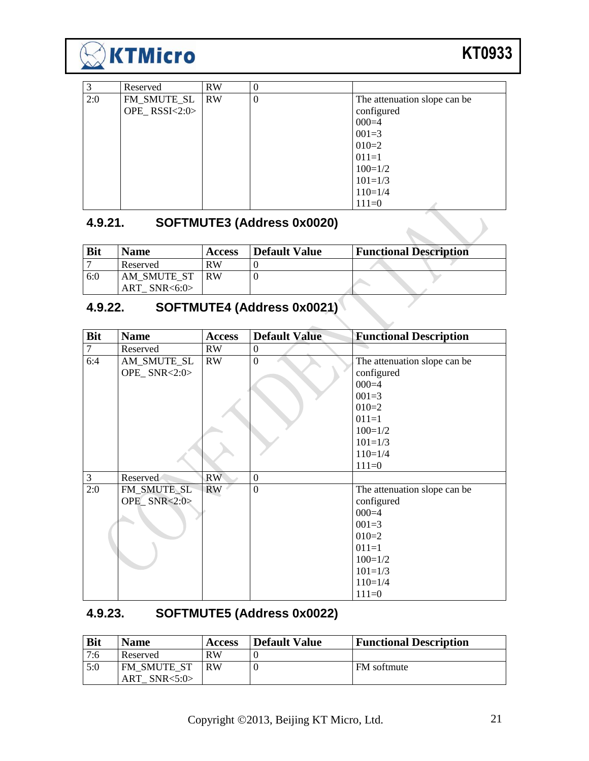

| 3   | Reserved      | <b>RW</b> | $\boldsymbol{0}$ |                              |
|-----|---------------|-----------|------------------|------------------------------|
| 2:0 | FM_SMUTE_SL   | <b>RW</b> | $\overline{0}$   | The attenuation slope can be |
|     | OPE_RSSI<2:0> |           |                  | configured                   |
|     |               |           |                  | $000=4$                      |
|     |               |           |                  | $001 = 3$                    |
|     |               |           |                  | $010=2$                      |
|     |               |           |                  | $011=1$                      |
|     |               |           |                  | $100=1/2$                    |
|     |               |           |                  | $101 = 1/3$                  |
|     |               |           |                  | $110=1/4$                    |
|     |               |           |                  | $111=0$                      |

## <span id="page-20-0"></span>**4.9.21. SOFTMUTE3 (Address 0x0020)**

| <b>Bit</b> | <b>Name</b>                   | <b>Access</b> | Default Value | <b>Functional Description</b> |
|------------|-------------------------------|---------------|---------------|-------------------------------|
|            | Reserved                      | <b>RW</b>     |               |                               |
| 6:0        | AM SMUTE ST<br>$ART$ SNR<6:0> | <b>RW</b>     |               |                               |

# <span id="page-20-1"></span>**4.9.22. SOFTMUTE4 (Address 0x0021)**

| <b>Bit</b>     | <b>Name</b>    | <b>Access</b> | <b>Default Value</b> | <b>Functional Description</b> |
|----------------|----------------|---------------|----------------------|-------------------------------|
| $\overline{7}$ | Reserved       | RW            | $\boldsymbol{0}$     |                               |
| 6:4            | AM_SMUTE_SL    | RW            | $\overline{0}$       | The attenuation slope can be  |
|                | OPE_SNR< $2:0$ |               |                      | configured                    |
|                |                |               |                      | $000=4$                       |
|                |                |               |                      | $001 = 3$                     |
|                |                |               |                      | $010=2$                       |
|                |                |               |                      | $011=1$                       |
|                |                |               |                      | $100=1/2$                     |
|                |                |               |                      | $101 = 1/3$                   |
|                |                |               |                      | $110=1/4$                     |
|                |                |               |                      | $111=0$                       |
| 3              | Reserved       | RW            | $\overline{0}$       |                               |
| 2:0            | FM_SMUTE_SL    | <b>RW</b>     | $\overline{0}$       | The attenuation slope can be  |
|                | OPE_SNR<2:0>   |               |                      | configured                    |
|                |                |               |                      | $000=4$                       |
|                |                |               |                      | $001 = 3$                     |
|                |                |               |                      | $010=2$                       |
|                |                |               |                      | $011=1$                       |
|                |                |               |                      | $100=1/2$                     |
|                |                |               |                      | $101 = 1/3$                   |
|                |                |               |                      | $110=1/4$                     |
|                |                |               |                      | $111=0$                       |

#### <span id="page-20-2"></span>**4.9.23. SOFTMUTE5 (Address 0x0022)**

| <b>Bit</b> | <b>Name</b>                           | <b>Access</b> | <b>Default Value</b> | <b>Functional Description</b> |
|------------|---------------------------------------|---------------|----------------------|-------------------------------|
| 7:6        | Reserved                              | RW            |                      |                               |
| 5:0        | <b>FM SMUTE ST</b><br>ART SNR $<5:0>$ | <b>RW</b>     |                      | FM softmute                   |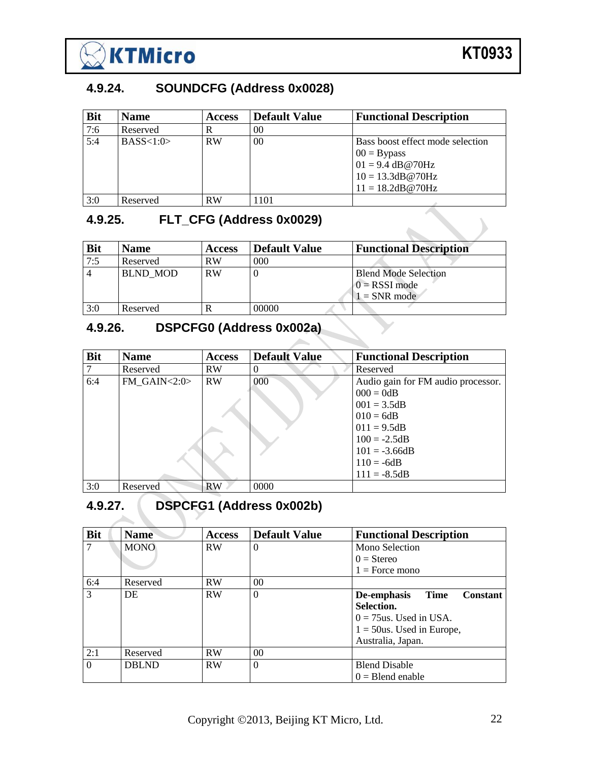

 $\sum$ 

#### <span id="page-21-0"></span>**4.9.24. SOUNDCFG (Address 0x0028)**

| <b>Bit</b> | <b>Name</b> | <b>Access</b> | <b>Default Value</b> | <b>Functional Description</b>                                                                                       |
|------------|-------------|---------------|----------------------|---------------------------------------------------------------------------------------------------------------------|
| 7:6        | Reserved    | R             | 00                   |                                                                                                                     |
| 5:4        | BASS<1:0>   | <b>RW</b>     | $00\,$               | Bass boost effect mode selection<br>$00 = Bypass$<br>$01 = 9.4$ dB@70Hz<br>$10 = 13.3dB@70Hz$<br>$11 = 18.2dB@70Hz$ |
| 3:0        | Reserved    | <b>RW</b>     | 1101                 |                                                                                                                     |

#### <span id="page-21-1"></span>**4.9.25. FLT\_CFG (Address 0x0029)**

| <b>Bit</b> | <b>Name</b>     | <b>Access</b> | <b>Default Value</b> | <b>Functional Description</b>                                    |
|------------|-----------------|---------------|----------------------|------------------------------------------------------------------|
| 7:5        | Reserved        | <b>RW</b>     | 000                  |                                                                  |
|            | <b>BLND MOD</b> | RW            |                      | <b>Blend Mode Selection</b><br>$0 =$ RSSI mode<br>$1 = SNR$ mode |
| 3:0        | Reserved        |               | 00000                |                                                                  |

## <span id="page-21-2"></span>**4.9.26. DSPCFG0 (Address 0x002a)**

| <b>Bit</b> | <b>Name</b>         | <b>Access</b> | <b>Default Value</b> | <b>Functional Description</b>      |
|------------|---------------------|---------------|----------------------|------------------------------------|
|            | Reserved            | <b>RW</b>     | $\theta$             | Reserved                           |
| 6:4        | FM GAIN $<$ 2:0 $>$ | <b>RW</b>     | 000                  | Audio gain for FM audio processor. |
|            |                     |               |                      | $000 = 0dB$                        |
|            |                     |               |                      | $001 = 3.5dB$                      |
|            |                     |               |                      | $010 = 6dB$                        |
|            |                     |               |                      | $011 = 9.5dB$                      |
|            |                     |               |                      | $100 = -2.5dB$                     |
|            |                     |               |                      | $101 = -3.66dB$                    |
|            |                     |               |                      | $110 = -6dB$                       |
|            |                     |               |                      | $111 = -8.5dB$                     |
| 3:0        | Reserved            | <b>RW</b>     | 0000                 |                                    |

# <span id="page-21-3"></span>**4.9.27. DSPCFG1 (Address 0x002b)**

| <b>Bit</b> | <b>Name</b>  | <b>Access</b> | <b>Default Value</b> | <b>Functional Description</b>                 |
|------------|--------------|---------------|----------------------|-----------------------------------------------|
|            | <b>MONO</b>  | <b>RW</b>     | $\theta$             | Mono Selection                                |
|            |              |               |                      | $0 =$ Stereo                                  |
|            |              |               |                      | $1 =$ Force mono                              |
| 6:4        | Reserved     | <b>RW</b>     | 0 <sup>0</sup>       |                                               |
| 3          | DE           | <b>RW</b>     | $\theta$             | <b>Time</b><br>De-emphasis<br><b>Constant</b> |
|            |              |               |                      | Selection.                                    |
|            |              |               |                      | $0 = 75$ us. Used in USA.                     |
|            |              |               |                      | $1 = 50$ us. Used in Europe,                  |
|            |              |               |                      | Australia, Japan.                             |
| 2:1        | Reserved     | <b>RW</b>     | 0 <sup>0</sup>       |                                               |
| $\Omega$   | <b>DBLND</b> | <b>RW</b>     | $\theta$             | <b>Blend Disable</b>                          |
|            |              |               |                      | $0 =$ Blend enable                            |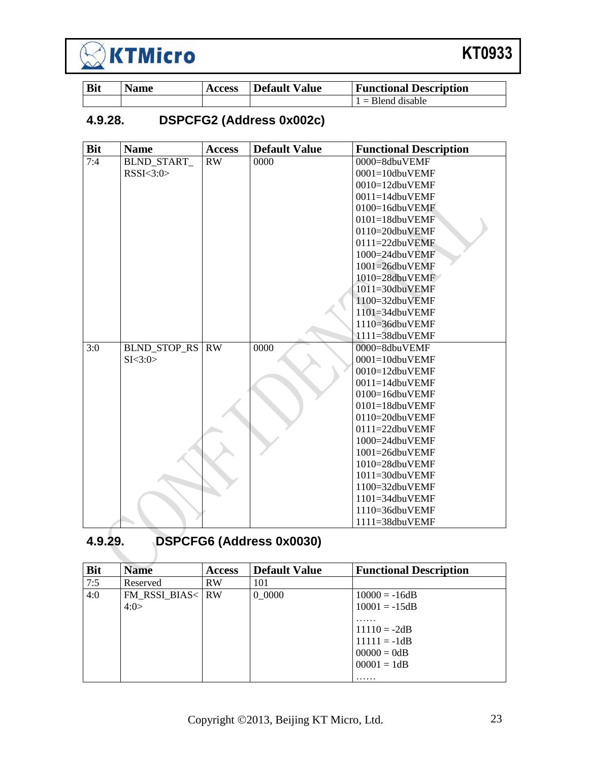

| <b>Bit</b> | <b>Name</b> | <b>Access</b> | Default Value | <b>Functional Description</b> |
|------------|-------------|---------------|---------------|-------------------------------|
|            |             |               |               | $1 =$ Blend disable           |

## <span id="page-22-0"></span>**4.9.28. DSPCFG2 (Address 0x002c)**

| <b>Bit</b> | <b>Name</b>         | <b>Access</b> | <b>Default Value</b> | <b>Functional Description</b>            |
|------------|---------------------|---------------|----------------------|------------------------------------------|
| 7:4        | <b>BLND START</b>   | RW            | 0000                 | 0000=8dbuVEMF                            |
|            | RSSI < 3:0>         |               |                      | 0001=10dbuVEMF                           |
|            |                     |               |                      | 0010=12dbuVEMF                           |
|            |                     |               |                      | $0011 = 14$ dbuVEMF                      |
|            |                     |               |                      | $0100=16$ dbu $VEMF$                     |
|            |                     |               |                      | $0101 = 18$ dbuVEMF                      |
|            |                     |               |                      | 0110=20dbuVEMF                           |
|            |                     |               |                      | $0111 = 22$ dbuVEMF                      |
|            |                     |               |                      | 1000=24dbuVEMF                           |
|            |                     |               |                      | 1001=26dbuVEMF                           |
|            |                     |               |                      | $1010 = 28$ dbuVEMF                      |
|            |                     |               |                      | 1011=30dbuVEMF                           |
|            |                     |               |                      | 1100=32dbuVEMF                           |
|            |                     |               |                      | $1101 = 34$ dbuVEMF                      |
|            |                     |               |                      | $1110 = 36$ dbuVEMF                      |
|            |                     |               |                      | 1111=38dbuVEMF                           |
| 3:0        | <b>BLND_STOP_RS</b> | RW            | 0000                 | 0000=8dbuVEMF                            |
|            | SI < 3:0>           |               |                      | $0001 = 10$ dbuVEMF                      |
|            |                     |               |                      | 0010=12dbuVEMF                           |
|            |                     |               |                      | $0011 = 14$ dbuVEMF                      |
|            |                     |               |                      | 0100=16dbuVEMF                           |
|            |                     |               |                      | $0101 = 18$ dbuVEMF                      |
|            |                     |               |                      | $0110=20$ dbuVEMF<br>$0111 = 22$ dbuVEMF |
|            |                     |               |                      | 1000=24dbuVEMF                           |
|            |                     |               |                      | $1001 = 26$ dbuVEMF                      |
|            |                     |               |                      | 1010=28dbuVEMF                           |
|            |                     |               |                      | 1011=30dbuVEMF                           |
|            |                     |               |                      | $1100 = 32$ dbuVEMF                      |
|            |                     |               |                      | $1101 = 34$ dbuVEMF                      |
|            |                     |               |                      | 1110=36dbuVEMF                           |
|            |                     |               |                      | 1111=38dbuVEMF                           |

## <span id="page-22-1"></span>**4.9.29. DSPCFG6 (Address 0x0030)**

| <b>Bit</b> | <b>Name</b>      | <b>Access</b> | <b>Default Value</b> | <b>Functional Description</b> |
|------------|------------------|---------------|----------------------|-------------------------------|
| 7:5        | Reserved         | <b>RW</b>     | 101                  |                               |
| 4:0        | FM RSSI BIAS< RW |               | 0 0000               | $10000 = -16dB$               |
|            | 4:0>             |               |                      | $10001 = -15dB$               |
|            |                  |               |                      | .                             |
|            |                  |               |                      | $11110 = -2dB$                |
|            |                  |               |                      | $11111 = -1dB$                |
|            |                  |               |                      | $00000 = 0dB$                 |
|            |                  |               |                      | $00001 = 1dB$                 |
|            |                  |               |                      | .                             |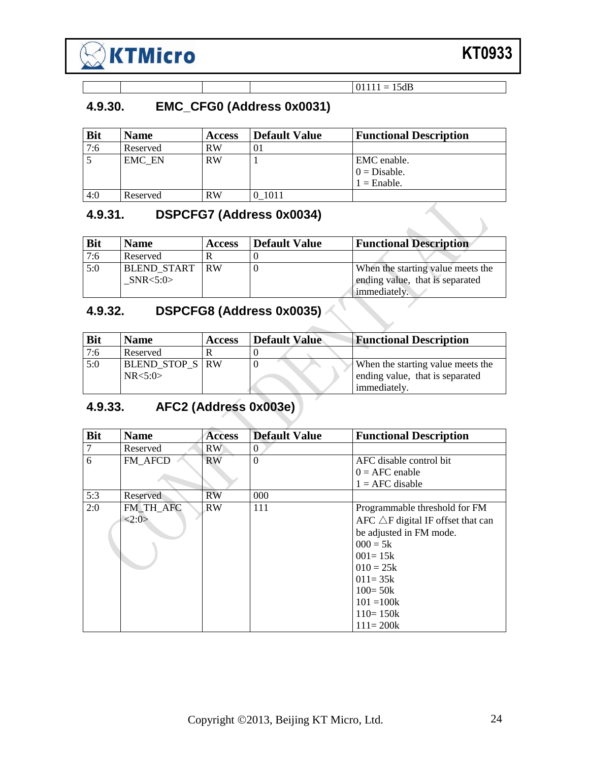

## <span id="page-23-0"></span>**4.9.30. EMC\_CFG0 (Address 0x0031)**

| <b>Bit</b> | <b>Name</b> | <b>Access</b> | <b>Default Value</b> | <b>Functional Description</b> |
|------------|-------------|---------------|----------------------|-------------------------------|
| 7:6        | Reserved    | <b>RW</b>     | O I                  |                               |
| -5         | EMC EN      | <b>RW</b>     |                      | EMC enable.                   |
|            |             |               |                      | $0 = Disable.$                |
|            |             |               |                      | $1 =$ Enable.                 |
| 4:0        | Reserved    | <b>RW</b>     | 1011                 |                               |

 $01111 = 15dB$ 

 $\sim$ 

# <span id="page-23-1"></span>**4.9.31. DSPCFG7 (Address 0x0034)**

| <b>Bit</b> | <b>Name</b>                         | <b>Access</b> | <b>Default Value</b> | <b>Functional Description</b>                                        |
|------------|-------------------------------------|---------------|----------------------|----------------------------------------------------------------------|
| 7:6        | Reserved                            |               |                      |                                                                      |
| 5:0        | <b>BLEND START RW</b><br>SNR < 5:0> |               |                      | When the starting value meets the<br>ending value, that is separated |
|            |                                     |               |                      | immediately.                                                         |

# <span id="page-23-2"></span>**4.9.32. DSPCFG8 (Address 0x0035)**

| <b>Bit</b> | <b>Name</b>     | <b>Access</b> | <b>Default Value</b> | <b>Functional Description</b>     |
|------------|-----------------|---------------|----------------------|-----------------------------------|
| 7:6        | Reserved        |               |                      |                                   |
| 5:0        | BLEND_STOP_S RW |               |                      | When the starting value meets the |
|            | NR < 5:0>       |               |                      | ending value, that is separated   |
|            |                 |               |                      | immediately.                      |

## <span id="page-23-3"></span>**4.9.33. AFC2 (Address 0x003e)**

| <b>Bit</b> | <b>Name</b> | <b>Access</b> | <b>Default Value</b> | <b>Functional Description</b>                |
|------------|-------------|---------------|----------------------|----------------------------------------------|
| 7          | Reserved    | RW            | 0                    |                                              |
| 6          | FM AFCD     | <b>RW</b>     | $\theta$             | AFC disable control bit                      |
|            |             |               |                      | $0 = AFC$ enable                             |
|            |             |               |                      | $1 = AFC$ disable                            |
| 5:3        | Reserved    | <b>RW</b>     | 000                  |                                              |
| 2:0        | FM TH AFC   | <b>RW</b>     | 111                  | Programmable threshold for FM                |
|            | <2:0>       |               |                      | AFC $\triangle$ F digital IF offset that can |
|            |             |               |                      | be adjusted in FM mode.                      |
|            |             |               |                      | $000 = 5k$                                   |
|            |             |               |                      | $001 = 15k$                                  |
|            |             |               |                      | $010 = 25k$                                  |
|            |             |               |                      | $011 = 35k$                                  |
|            |             |               |                      | $100 = 50k$                                  |
|            |             |               |                      | $101 = 100k$                                 |
|            |             |               |                      | $110 = 150k$                                 |
|            |             |               |                      | $111 = 200k$                                 |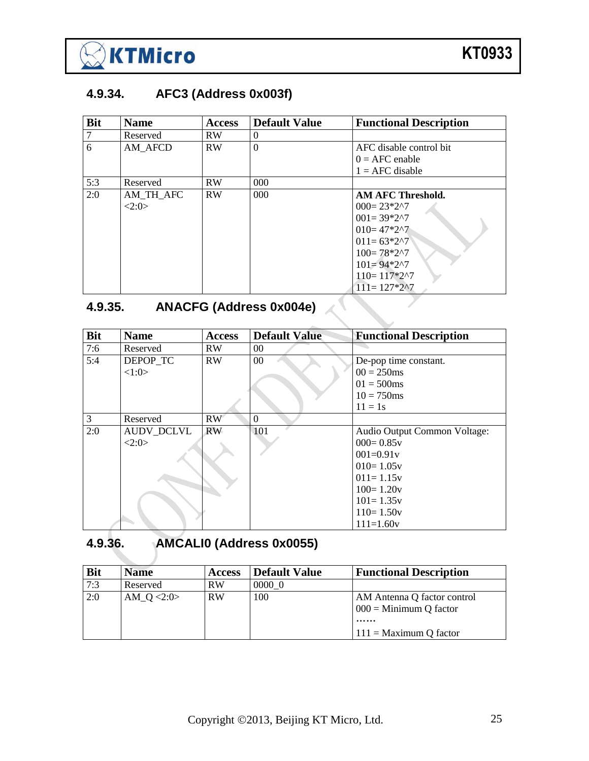

#### <span id="page-24-0"></span>**4.9.34. AFC3 (Address 0x003f)**

| <b>Bit</b> | <b>Name</b> | <b>Access</b> | <b>Default Value</b> | <b>Functional Description</b> |
|------------|-------------|---------------|----------------------|-------------------------------|
|            | Reserved    | <b>RW</b>     | $\Omega$             |                               |
| 6          | AM AFCD     | RW            | $\theta$             | AFC disable control bit       |
|            |             |               |                      | $0 = AFC$ enable              |
|            |             |               |                      | $1 = AFC$ disable             |
| 5:3        | Reserved    | <b>RW</b>     | 000                  |                               |
| 2:0        | AM_TH_AFC   | RW            | 000 <sub>0</sub>     | AM AFC Threshold.             |
|            | 2:0>        |               |                      | $000 = 23*2^2$                |
|            |             |               |                      | $001 = 39*2^{2}$              |
|            |             |               |                      | $010 = 47*2^2$                |
|            |             |               |                      | $011 = 63*2^{2}$              |
|            |             |               |                      | $100 = 78*2^{2}$              |
|            |             |               |                      | $101 = 94*2^2$                |
|            |             |               |                      | $110 = 117*2^{\circ}7$        |
|            |             |               |                      | $111 = 127*22$                |

**Contract Contract Contract Contract Contract Contract Contract Contract Contract Contract Contract Contract C** 

# <span id="page-24-1"></span>**4.9.35. ANACFG (Address 0x004e)**

| <b>Bit</b>     | <b>Name</b>       | <b>Access</b>   | <b>Default Value</b> | <b>Functional Description</b> |
|----------------|-------------------|-----------------|----------------------|-------------------------------|
| 7:6            | Reserved          | <b>RW</b>       | $00\,$               |                               |
| 5:4            | DEPOP_TC          | <b>RW</b>       | $00\,$               | De-pop time constant.         |
|                | <1:0>             |                 |                      | $00 = 250$ ms                 |
|                |                   |                 |                      | $01 = 500$ ms                 |
|                |                   |                 |                      | $10 = 750$ ms                 |
|                |                   |                 |                      | $11 = 1s$                     |
| $\overline{3}$ | Reserved          | RW <sup>®</sup> | $\theta$             |                               |
| 2:0            | <b>AUDV DCLVL</b> | <b>RW</b>       | 101                  | Audio Output Common Voltage:  |
|                | 2:0>              |                 |                      | $000 = 0.85v$                 |
|                |                   |                 |                      | $001=0.91v$                   |
|                |                   |                 |                      | $010 = 1.05v$                 |
|                |                   |                 |                      | $011 = 1.15v$                 |
|                |                   |                 |                      | $100 = 1.20v$                 |
|                |                   |                 |                      | $101 = 1.35v$                 |
|                |                   |                 |                      | $110 = 1.50v$                 |
|                |                   |                 |                      | $111=1.60v$                   |

## <span id="page-24-2"></span>**4.9.36. AMCALI0 (Address 0x0055)**

| <b>Bit</b> | <b>Name</b>   | <b>Access</b> | <b>Default Value</b> | <b>Functional Description</b>                               |
|------------|---------------|---------------|----------------------|-------------------------------------------------------------|
| 7:3        | Reserved      | <b>RW</b>     | 0000 0               |                                                             |
| 2:0        | AM $Q < 2:0>$ | <b>RW</b>     | 100                  | AM Antenna Q factor control<br>$000 =$ Minimum Q factor<br> |
|            |               |               |                      | $111 =$ Maximum Q factor                                    |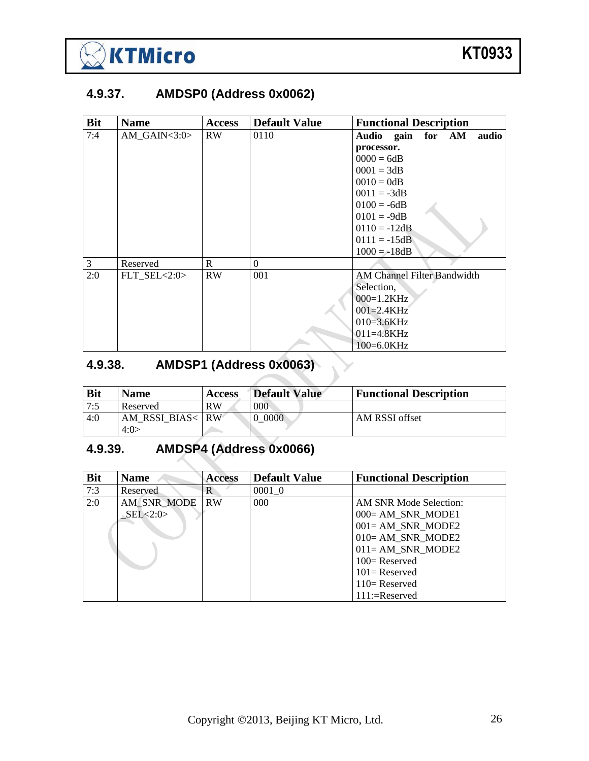

#### <span id="page-25-0"></span>**4.9.37. AMDSP0 (Address 0x0062)**

| <b>Bit</b> | <b>Name</b>         | <b>Access</b> | <b>Default Value</b> | <b>Functional Description</b>      |
|------------|---------------------|---------------|----------------------|------------------------------------|
| 7:4        | AM GAIN $<$ 3:0 $>$ | <b>RW</b>     | 0110                 | Audio gain for AM<br>audio         |
|            |                     |               |                      | processor.                         |
|            |                     |               |                      | $0000 = 6dB$                       |
|            |                     |               |                      | $0001 = 3dB$                       |
|            |                     |               |                      | $0010 = 0dB$                       |
|            |                     |               |                      | $0011 = -3dB$                      |
|            |                     |               |                      | $0100 = -6dB$                      |
|            |                     |               |                      | $0101 = -9dB$                      |
|            |                     |               |                      | $0110 = -12dB$                     |
|            |                     |               |                      | $0111 = -15dB$                     |
|            |                     |               |                      | $1000 = -18dB$                     |
| 3          | Reserved            | $\mathbb{R}$  | $\overline{0}$       |                                    |
| 2:0        | FLT $SEL < 2:0>$    | <b>RW</b>     | 001                  | <b>AM Channel Filter Bandwidth</b> |
|            |                     |               |                      | Selection,                         |
|            |                     |               |                      | $000=1.2KHz$                       |
|            |                     |               |                      | $001 = 2.4KHz$                     |
|            |                     |               |                      | $010=3.6KHz$                       |
|            |                     |               |                      | $011 = 4.8KHz$                     |
|            |                     |               |                      | $100=6.0KHz$                       |

# <span id="page-25-1"></span>**4.9.38. AMDSP1 (Address 0x0063)**

| <b>Bit</b> | <b>Name</b>  | <b>Access</b>   | Default Value | <b>Functional Description</b> |
|------------|--------------|-----------------|---------------|-------------------------------|
| 7:5        | Reserved     | <b>RW</b>       | 000           |                               |
| 4:0        | AM RSSI BIAS | RW <sup>1</sup> | 0000          | AM RSSI offset                |
|            | 4:0>         |                 |               |                               |

 $\blacktriangleright$ 

## <span id="page-25-2"></span>**4.9.39. AMDSP4 (Address 0x0066)**

| <b>Bit</b> | <b>Name</b> | <b>Access</b> | <b>Default Value</b> | <b>Functional Description</b> |
|------------|-------------|---------------|----------------------|-------------------------------|
| 7:3        | Reserved    | R             | 0001 0               |                               |
| 2:0        | AM SNR MODE | <b>RW</b>     | $000 -$              | AM SNR Mode Selection:        |
|            | SEL < 2:0   |               |                      | $000 = AM$ SNR MODE1          |
|            |             |               |                      | $001 = AM$ SNR MODE2          |
|            |             |               |                      | 010= AM SNR MODE2             |
|            |             |               |                      | $011 = AM$ _SNR_MODE2         |
|            |             |               |                      | $100 =$ Reserved              |
|            |             |               |                      | $101 =$ Reserved              |
|            |             |               |                      | $110=$ Reserved               |
|            |             |               |                      | $111:=$ Reserved              |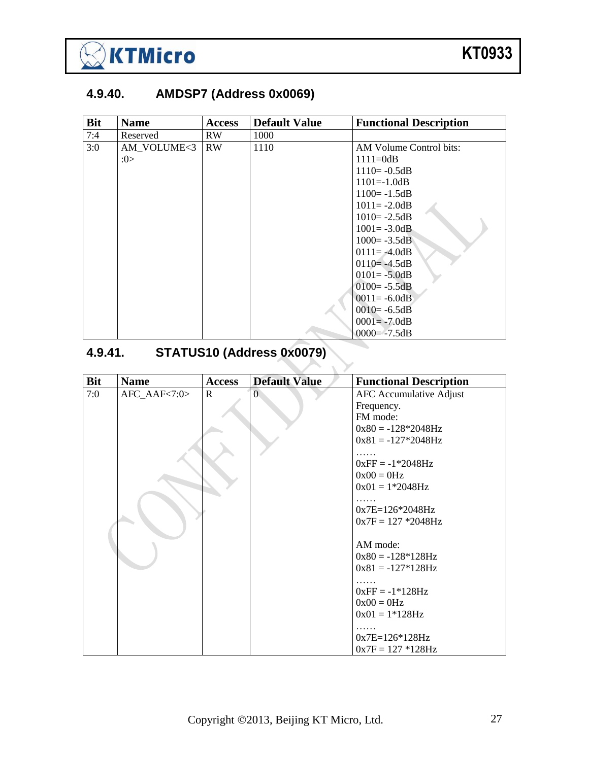

## <span id="page-26-0"></span>**4.9.40. AMDSP7 (Address 0x0069)**

| <b>Bit</b> | <b>Name</b> | <b>Access</b> | <b>Default Value</b> | <b>Functional Description</b> |
|------------|-------------|---------------|----------------------|-------------------------------|
| 7:4        | Reserved    | RW            | 1000                 |                               |
| 3:0        | AM VOLUME<3 | <b>RW</b>     | 1110                 | AM Volume Control bits:       |
|            | :0>         |               |                      | $1111 = 0dB$                  |
|            |             |               |                      | $1110 = -0.5dB$               |
|            |             |               |                      | $1101 = -1.0dB$               |
|            |             |               |                      | $1100 = -1.5dB$               |
|            |             |               |                      | $1011 = -2.0dB$               |
|            |             |               |                      | $1010 = -2.5dB$               |
|            |             |               |                      | $1001 = -3.0dB$               |
|            |             |               |                      | $1000 = -3.5dB$               |
|            |             |               |                      | $0111 = -4.0dB$               |
|            |             |               |                      | $0110 = -4.5dB$               |
|            |             |               |                      | $0101 = -5.0dB$               |
|            |             |               |                      | $0100 = -5.5dB$               |
|            |             |               |                      | $0011 = -6.0dB$               |
|            |             |               |                      | $0010 = -6.5dB$               |
|            |             |               |                      | $0001 = -7.0dB$               |
|            |             |               |                      | $0000 = -7.5dB$               |

# <span id="page-26-1"></span>**4.9.41. STATUS10 (Address 0x0079)**

| <b>Bit</b> | <b>Name</b>  | <b>Access</b> | <b>Default Value</b> | <b>Functional Description</b>  |
|------------|--------------|---------------|----------------------|--------------------------------|
| 7:0        | AFC_AAF<7:0> | $\mathbf R$   | $\Omega$             | <b>AFC</b> Accumulative Adjust |
|            |              |               |                      | Frequency.                     |
|            |              |               |                      | FM mode:                       |
|            |              |               |                      | $0x80 = -128*2048Hz$           |
|            |              |               |                      | $0x81 = -127*2048Hz$           |
|            |              |               |                      |                                |
|            |              |               |                      | $0xFF = -1*2048Hz$             |
|            |              |               |                      | $0x00 = 0Hz$                   |
|            |              |               |                      | $0x01 = 1*2048Hz$              |
|            |              |               |                      |                                |
|            |              |               |                      | $0x7E=126*2048Hz$              |
|            |              |               |                      | $0x7F = 127 * 2048Hz$          |
|            |              |               |                      |                                |
|            |              |               |                      | AM mode:                       |
|            |              |               |                      | $0x80 = -128*128Hz$            |
|            |              |               |                      | $0x81 = -127*128Hz$            |
|            |              |               |                      |                                |
|            |              |               |                      | $0xFF = -1*128Hz$              |
|            |              |               |                      | $0x00 = 0Hz$                   |
|            |              |               |                      | $0x01 = 1*128Hz$               |
|            |              |               |                      |                                |
|            |              |               |                      | $0x7E=126*128Hz$               |
|            |              |               |                      | $0x7F = 127 * 128Hz$           |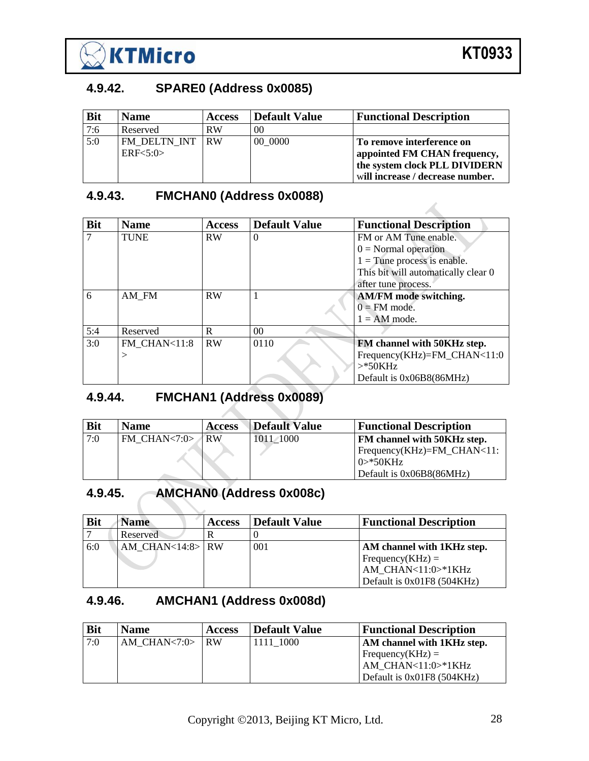

 $\mathcal{A}_{\mathcal{A}}$ 

#### <span id="page-27-0"></span>**4.9.42. SPARE0 (Address 0x0085)**

| <b>Bit</b> | <b>Name</b>     | <b>Access</b> | Default Value  | <b>Functional Description</b>    |
|------------|-----------------|---------------|----------------|----------------------------------|
| 7:6        | Reserved        | <b>RW</b>     | 0 <sup>0</sup> |                                  |
| 5:0        | FM DELTN INT RW |               | 00 0000        | To remove interference on        |
|            | ERF<5:0>        |               |                | appointed FM CHAN frequency,     |
|            |                 |               |                | the system clock PLL DIVIDERN    |
|            |                 |               |                | will increase / decrease number. |

#### <span id="page-27-1"></span>**4.9.43. FMCHAN0 (Address 0x0088)**

| <b>Bit</b> | <b>Name</b>  | <b>Access</b> | <b>Default Value</b> | <b>Functional Description</b>       |
|------------|--------------|---------------|----------------------|-------------------------------------|
|            | <b>TUNE</b>  | <b>RW</b>     | $\theta$             | FM or AM Tune enable.               |
|            |              |               |                      | $0 = Normal operation$              |
|            |              |               |                      | $1 =$ Tune process is enable.       |
|            |              |               |                      | This bit will automatically clear 0 |
|            |              |               |                      | after tune process.                 |
| 6          | AM FM        | <b>RW</b>     |                      | AM/FM mode switching.               |
|            |              |               |                      | $0 = FM$ mode.                      |
|            |              |               |                      | $1 = AM$ mode.                      |
| 5:4        | Reserved     | R             | 0 <sup>0</sup>       |                                     |
| 3:0        | FM CHAN<11:8 | <b>RW</b>     | 0110                 | FM channel with 50KHz step.         |
|            | >            |               |                      | Frequency(KHz)=FM_CHAN<11:0         |
|            |              |               |                      | $>$ *50KHz                          |
|            |              |               |                      | Default is 0x06B8(86MHz)            |

## <span id="page-27-2"></span>**4.9.44. FMCHAN1 (Address 0x0089)**

| <b>Bit</b> | <b>Name</b>     | <b>Access</b> | Default Value | <b>Functional Description</b> |
|------------|-----------------|---------------|---------------|-------------------------------|
| 7:0        | FM CHAN<7:0> RW |               | 1011/1000     | FM channel with 50KHz step.   |
|            |                 |               |               | $Frequency(KHz)=FM_CHAN<11$ : |
|            |                 |               |               | $0$ > *50KHz                  |
|            |                 |               |               | Default is 0x06B8(86MHz)      |

## <span id="page-27-3"></span>**4.9.45. AMCHAN0 (Address 0x008c)**

| <b>Bit</b> | <b>Name</b>        | <b>Access</b> | <b>Default Value</b> | <b>Functional Description</b>                                                                      |
|------------|--------------------|---------------|----------------------|----------------------------------------------------------------------------------------------------|
|            | Reserved           | R             |                      |                                                                                                    |
| 6:0        | $AM$ CHAN<14:8> RW |               | 001                  | AM channel with 1KHz step.<br>Frequency(KHz) =<br>AM CHAN<11:0>*1KHz<br>Default is 0x01F8 (504KHz) |

#### <span id="page-27-4"></span>**4.9.46. AMCHAN1 (Address 0x008d)**

| <b>Bit</b> | <b>Name</b>              | <b>Access</b> | <b>Default Value</b> | <b>Functional Description</b>     |
|------------|--------------------------|---------------|----------------------|-----------------------------------|
| 7:0        | AM CHAN $\lt$ 7:0 $>$ RW |               | 1111 1000            | <b>AM</b> channel with 1KHz step. |
|            |                          |               |                      | $Frequency(KHz) =$                |
|            |                          |               |                      | AM CHAN<11:0>*1KHz                |
|            |                          |               |                      | Default is 0x01F8 (504KHz)        |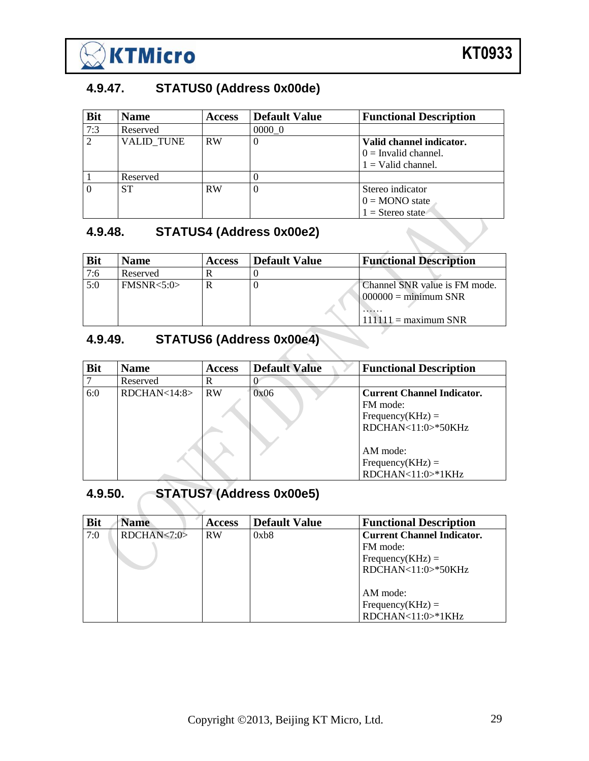

#### <span id="page-28-0"></span>**4.9.47. STATUS0 (Address 0x00de)**

| <b>Bit</b> | <b>Name</b>       | <b>Access</b> | <b>Default Value</b> | <b>Functional Description</b>                                              |
|------------|-------------------|---------------|----------------------|----------------------------------------------------------------------------|
| 7:3        | Reserved          |               | 0000 0               |                                                                            |
| 2          | <b>VALID TUNE</b> | <b>RW</b>     |                      | Valid channel indicator.<br>$0 =$ Invalid channel.<br>$1 =$ Valid channel. |
|            | Reserved          |               |                      |                                                                            |
| $\Omega$   | <b>ST</b>         | RW            |                      | Stereo indicator<br>$0 = MONO$ state<br>$1 =$ Stereo state                 |

#### <span id="page-28-1"></span>**4.9.48. STATUS4 (Address 0x00e2)**

| <b>Bit</b> | <b>Name</b> | <b>Access</b> | Default Value | <b>Functional Description</b>                                                                 |
|------------|-------------|---------------|---------------|-----------------------------------------------------------------------------------------------|
| 7:6        | Reserved    |               |               |                                                                                               |
| 5:0        | FMSNR < 5:0 |               |               | Channel SNR value is FM mode.<br>$000000 = \text{minimum SNR}$<br>.<br>$111111 =$ maximum SNR |

## <span id="page-28-2"></span>**4.9.49. STATUS6 (Address 0x00e4)**

| <b>Bit</b> | <b>Name</b>  | <b>Access</b> | <b>Default Value</b> | <b>Functional Description</b>     |
|------------|--------------|---------------|----------------------|-----------------------------------|
|            | Reserved     | R             |                      |                                   |
| 6:0        | RDCHAN<14:8> | <b>RW</b>     | 0x06                 | <b>Current Channel Indicator.</b> |
|            |              |               |                      | FM mode:                          |
|            |              |               |                      | $Frequency(KHz) =$                |
|            |              |               |                      | RDCHAN<11:0>*50KHz                |
|            |              |               |                      |                                   |
|            |              |               |                      | AM mode:                          |
|            |              |               |                      | $Frequency(KHz) =$                |
|            |              |               |                      | RDCHAN<11:0>*1KHz                 |

## <span id="page-28-3"></span>**4.9.50. STATUS7 (Address 0x00e5)**

| <b>Bit</b> | <b>Name</b>   | <b>Access</b> | <b>Default Value</b> | <b>Functional Description</b>     |
|------------|---------------|---------------|----------------------|-----------------------------------|
| 7:0        | RDCHAN < 7:0> | <b>RW</b>     | 0xb8                 | <b>Current Channel Indicator.</b> |
|            |               |               |                      | FM mode:                          |
|            |               |               |                      | Frequency(KHz) $=$                |
|            |               |               |                      | $RDCHAN<11:0>^*50KHz$             |
|            |               |               |                      |                                   |
|            |               |               |                      | AM mode:                          |
|            |               |               |                      | Frequency( $KHz$ ) =              |
|            |               |               |                      | RDCHAN<11:0>*1KHz                 |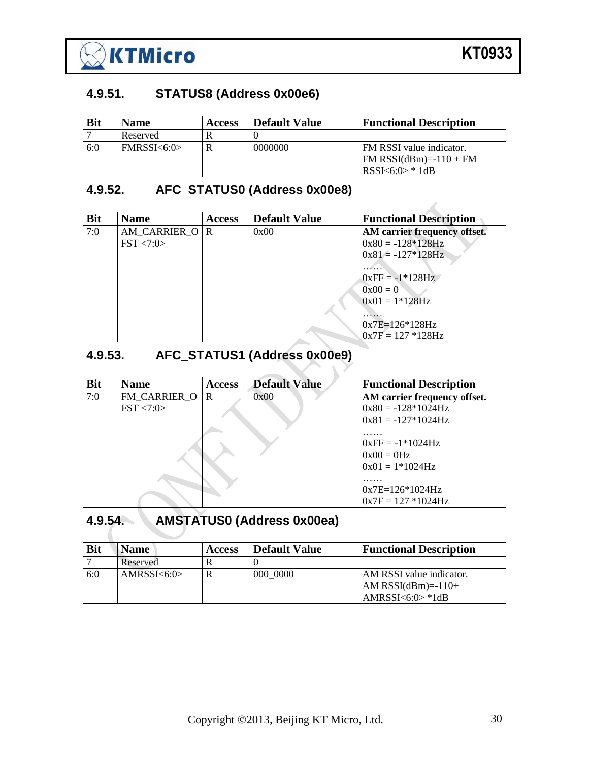

Z

## <span id="page-29-0"></span>**4.9.51. STATUS8 (Address 0x00e6)**

| <b>Bit</b> | <b>Name</b> | <b>Access</b> | <b>Default Value</b> | <b>Functional Description</b>   |
|------------|-------------|---------------|----------------------|---------------------------------|
|            | Reserved    |               |                      |                                 |
| 6:0        | FMRSSI<6:0> |               | 0000000              | FM RSSI value indicator.        |
|            |             |               |                      | $\text{FM}$ RSSI(dBm)=-110 + FM |
|            |             |               |                      | RSSI<6:0> * 1dB                 |

#### <span id="page-29-1"></span>**4.9.52. AFC\_STATUS0 (Address 0x00e8)**

| <b>Bit</b> | <b>Name</b>            | <b>Access</b> | <b>Default Value</b> | <b>Functional Description</b> |
|------------|------------------------|---------------|----------------------|-------------------------------|
| 7:0        | AM CARRIER O R         |               | 0x00                 | AM carrier frequency offset.  |
|            | $\text{FST} \leq 7:0>$ |               |                      | $0x80 = -128*128Hz$           |
|            |                        |               |                      | $0x81 = -127*128Hz$           |
|            |                        |               |                      |                               |
|            |                        |               |                      | $0xFF = -1*128Hz$             |
|            |                        |               |                      | $0x00 = 0$                    |
|            |                        |               |                      | $0x01 = 1*128Hz$              |
|            |                        |               |                      |                               |
|            |                        |               |                      | $0x7E=126*128Hz$              |
|            |                        |               |                      | $0x7F = 127 * 128Hz$          |

# <span id="page-29-2"></span>**4.9.53. AFC\_STATUS1 (Address 0x00e9)**

| <b>Bit</b> | <b>Name</b>            | <b>Access</b> | <b>Default Value</b> | <b>Functional Description</b>                           |
|------------|------------------------|---------------|----------------------|---------------------------------------------------------|
| 7:0        | FM CARRIER O           | l R           | 0x00                 | AM carrier frequency offset.                            |
|            | $\text{FST} \leq 7:0>$ |               |                      | $0x80 = -128*1024Hz$                                    |
|            |                        |               |                      | $0x81 = -127*1024Hz$                                    |
|            |                        |               |                      | $0xFF = -1*1024Hz$<br>$0x00 = 0Hz$<br>$0x01 = 1*1024Hz$ |
|            |                        |               |                      | $0x7E=126*1024Hz$<br>$0x7F = 127 * 1024Hz$              |

## <span id="page-29-3"></span>**4.9.54. AMSTATUS0 (Address 0x00ea)**

| <b>Bit</b> | Name         | <b>Access</b> | <b>Default Value</b> | <b>Functional Description</b>                    |
|------------|--------------|---------------|----------------------|--------------------------------------------------|
|            | Reserved     |               |                      |                                                  |
| 6:0        | AMRSSI < 6:0 |               | 000 0000             | AM RSSI value indicator.<br>$AM RSSI(dBm)=-110+$ |
|            |              |               |                      | $AMRSSI < 6:0> *1dB$                             |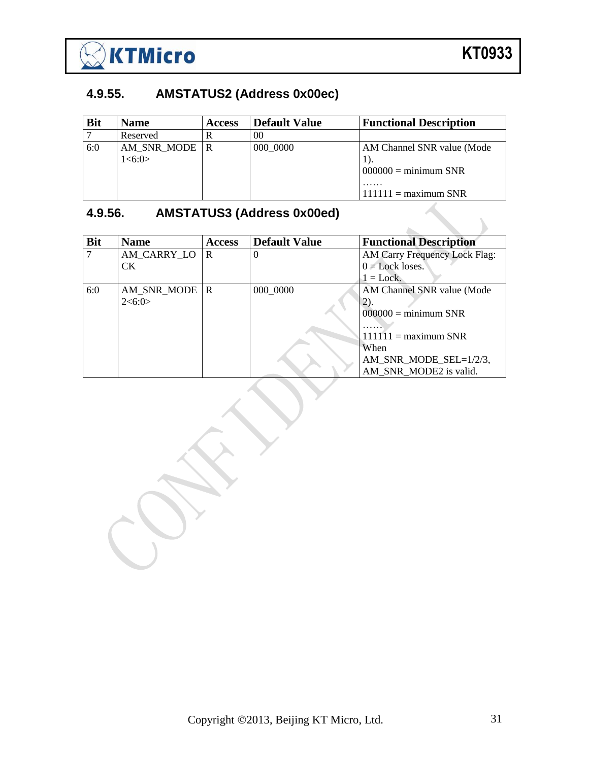

## <span id="page-30-0"></span>**4.9.55. AMSTATUS2 (Address 0x00ec)**

| <b>Bit</b> | <b>Name</b>                 | <b>Access</b> | <b>Default Value</b> | <b>Functional Description</b>                                                         |
|------------|-----------------------------|---------------|----------------------|---------------------------------------------------------------------------------------|
|            | Reserved                    |               | $\Omega$             |                                                                                       |
| 6:0        | AM_SNR_MODE   R<br>1 < 6:0> |               | 000 0000             | AM Channel SNR value (Mode<br>$000000 = \text{minimum SNR}$<br>$111111 =$ maximum SNR |

## <span id="page-30-1"></span>**4.9.56. AMSTATUS3 (Address 0x00ed)**

| <b>Bit</b> | <b>Name</b>     | <b>Access</b> | <b>Default Value</b> | <b>Functional Description</b> |
|------------|-----------------|---------------|----------------------|-------------------------------|
|            | AM_CARRY_LO     | l R           |                      | AM Carry Frequency Lock Flag: |
|            | <b>CK</b>       |               |                      | $0 =$ Lock loses.             |
|            |                 |               |                      | $1 =$ Lock.                   |
| 6:0        | AM_SNR_MODE   R |               | 000 0000             | AM Channel SNR value (Mode    |
|            | 2 < 6:0>        |               |                      | 2).                           |
|            |                 |               |                      | $000000 = \text{minimum SNR}$ |
|            |                 |               |                      |                               |
|            |                 |               |                      | $111111 =$ maximum SNR        |
|            |                 |               |                      | When                          |
|            |                 |               |                      | AM_SNR_MODE_SEL=1/2/3,        |
|            |                 |               |                      | AM SNR MODE2 is valid.        |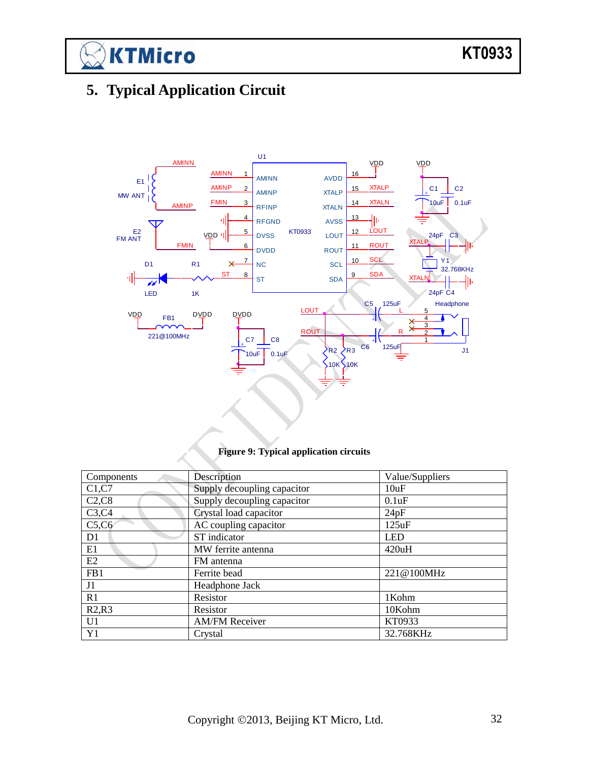$\boxtimes$ KTMicro

# <span id="page-31-0"></span>**5. Typical Application Circuit**



#### **Figure 9: Typical application circuits**

| Components     | Description                 | Value/Suppliers |
|----------------|-----------------------------|-----------------|
| C1, C7         | Supply decoupling capacitor | 10uF            |
| C2, C8         | Supply decoupling capacitor | 0.1uF           |
| C3, C4         | Crystal load capacitor      | 24pF            |
| C5,C6          | AC coupling capacitor       | 125uF           |
| D <sub>1</sub> | ST indicator                | <b>LED</b>      |
| E1             | MW ferrite antenna          | 420uH           |
| E2             | FM antenna                  |                 |
| FB1            | Ferrite bead                | 221@100MHz      |
| J1             | Headphone Jack              |                 |
| R1             | Resistor                    | 1Kohm           |
| R2,R3          | Resistor                    | 10Kohm          |
| U <sub>1</sub> | <b>AM/FM Receiver</b>       | KT0933          |
| Y <sub>1</sub> | Crystal                     | 32.768KHz       |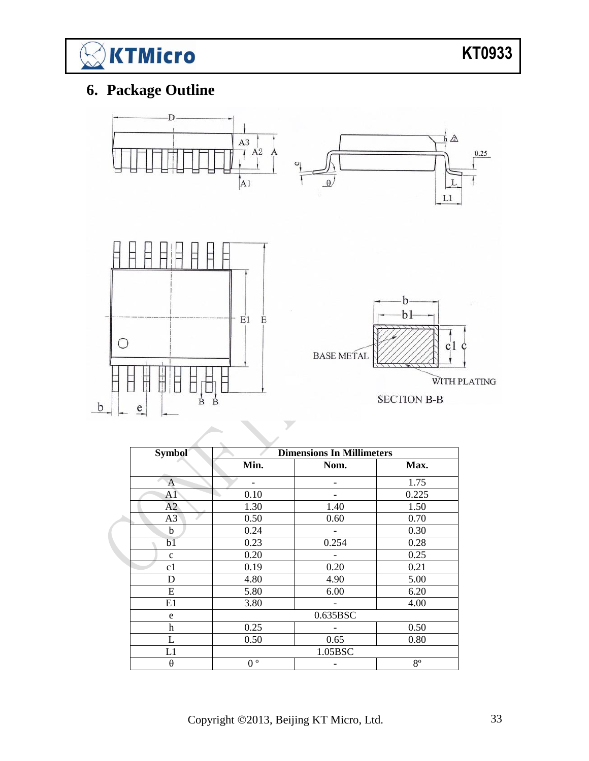

# <span id="page-32-0"></span>**6. Package Outline**



| <b>Symbol</b>  | <b>Dimensions In Millimeters</b> |          |             |  |  |  |
|----------------|----------------------------------|----------|-------------|--|--|--|
|                | Min.                             | Nom.     | Max.        |  |  |  |
| A              |                                  |          | 1.75        |  |  |  |
| A <sub>1</sub> | 0.10                             |          | 0.225       |  |  |  |
| A2             | 1.30                             | 1.40     | 1.50        |  |  |  |
| A3             | 0.50                             | 0.60     | 0.70        |  |  |  |
| b              | 0.24                             |          | 0.30        |  |  |  |
| b1             | 0.23                             | 0.254    | 0.28        |  |  |  |
| $\mathbf c$    | 0.20                             |          | 0.25        |  |  |  |
| c1             | 0.19                             | 0.20     | 0.21        |  |  |  |
| D              | 4.80                             | 4.90     | 5.00        |  |  |  |
| E              | 5.80                             | 6.00     | 6.20        |  |  |  |
| E1             | 3.80                             |          | 4.00        |  |  |  |
| e              |                                  | 0.635BSC |             |  |  |  |
| h              | 0.25                             |          | 0.50        |  |  |  |
| L              | 0.50                             | 0.65     | 0.80        |  |  |  |
| L1             |                                  | 1.05BSC  |             |  |  |  |
| θ              | $\mathbf{o}$<br>$\theta$         |          | $8^{\circ}$ |  |  |  |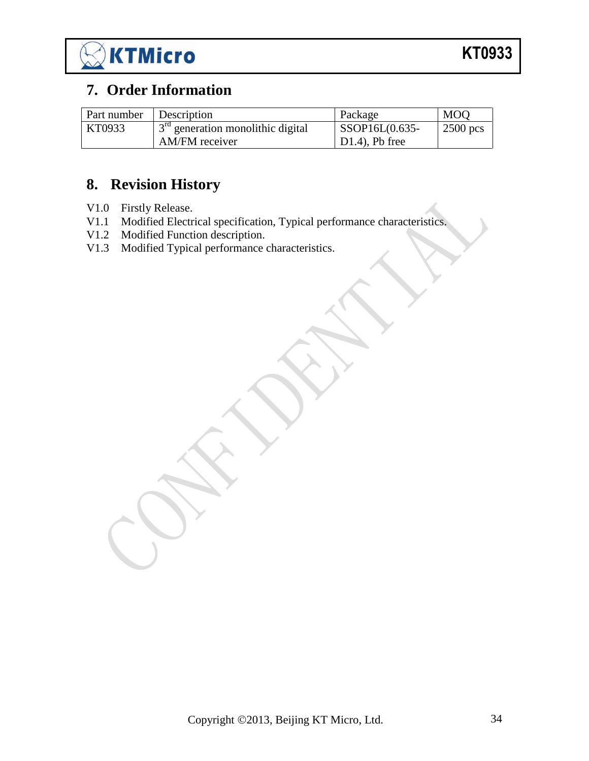

## <span id="page-33-0"></span>**7. Order Information**

| Part number | <b>Description</b>                                          | Package           | <b>MOO</b> |
|-------------|-------------------------------------------------------------|-------------------|------------|
| KT0933      | $\frac{1}{1}$ 3 <sup>rd</sup> generation monolithic digital | SSOP16L(0.635-    | $2500$ pcs |
|             | AM/FM receiver                                              | $D1.4$ ), Pb free |            |

# <span id="page-33-1"></span>**8. Revision History**

- V1.0 Firstly Release.
- V1.1 Modified Electrical specification, Typical performance characteristics.
- V1.2 Modified Function description.
- V1.3 Modified Typical performance characteristics.